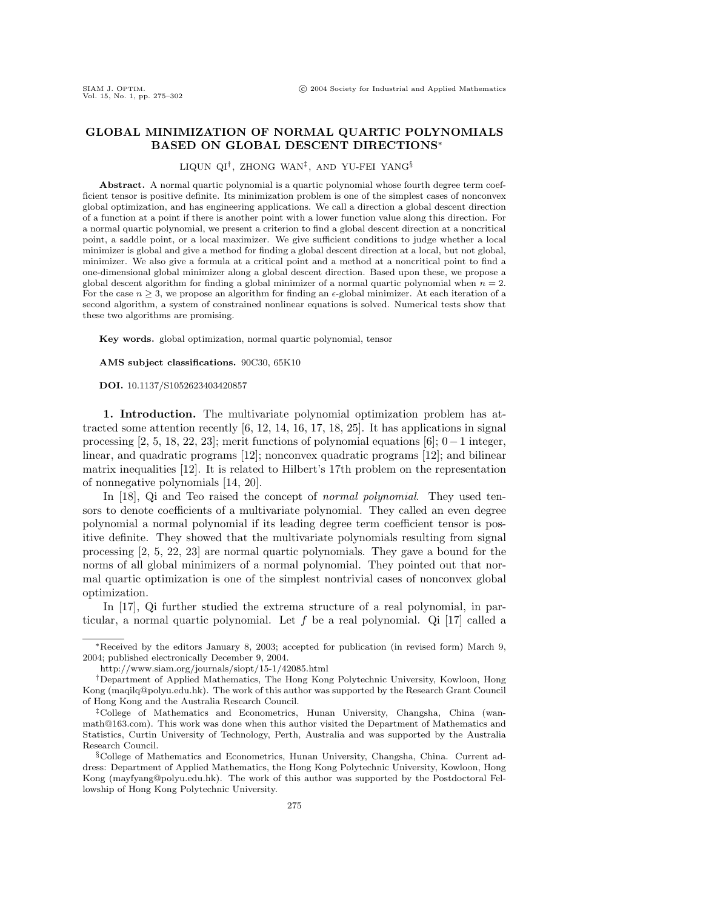## **GLOBAL MINIMIZATION OF NORMAL QUARTIC POLYNOMIALS BASED ON GLOBAL DESCENT DIRECTIONS**∗

LIQUN QI†, ZHONG WAN‡, AND YU-FEI YANG§

Abstract. A normal quartic polynomial is a quartic polynomial whose fourth degree term coefficient tensor is positive definite. Its minimization problem is one of the simplest cases of nonconvex global optimization, and has engineering applications. We call a direction a global descent direction of a function at a point if there is another point with a lower function value along this direction. For a normal quartic polynomial, we present a criterion to find a global descent direction at a noncritical point, a saddle point, or a local maximizer. We give sufficient conditions to judge whether a local minimizer is global and give a method for finding a global descent direction at a local, but not global, minimizer. We also give a formula at a critical point and a method at a noncritical point to find a one-dimensional global minimizer along a global descent direction. Based upon these, we propose a global descent algorithm for finding a global minimizer of a normal quartic polynomial when  $n = 2$ . For the case  $n \geq 3$ , we propose an algorithm for finding an  $\epsilon$ -global minimizer. At each iteration of a second algorithm, a system of constrained nonlinear equations is solved. Numerical tests show that these two algorithms are promising.

**Key words.** global optimization, normal quartic polynomial, tensor

**AMS subject classifications.** 90C30, 65K10

**DOI.** 10.1137/S1052623403420857

**1. Introduction.** The multivariate polynomial optimization problem has attracted some attention recently [6, 12, 14, 16, 17, 18, 25]. It has applications in signal processing [2, 5, 18, 22, 23]; merit functions of polynomial equations [6];  $0-1$  integer, linear, and quadratic programs [12]; nonconvex quadratic programs [12]; and bilinear matrix inequalities [12]. It is related to Hilbert's 17th problem on the representation of nonnegative polynomials [14, 20].

In [18], Qi and Teo raised the concept of *normal polynomial*. They used tensors to denote coefficients of a multivariate polynomial. They called an even degree polynomial a normal polynomial if its leading degree term coefficient tensor is positive definite. They showed that the multivariate polynomials resulting from signal processing [2, 5, 22, 23] are normal quartic polynomials. They gave a bound for the norms of all global minimizers of a normal polynomial. They pointed out that normal quartic optimization is one of the simplest nontrivial cases of nonconvex global optimization.

In [17], Qi further studied the extrema structure of a real polynomial, in particular, a normal quartic polynomial. Let f be a real polynomial. Qi [17] called a

<sup>∗</sup>Received by the editors January 8, 2003; accepted for publication (in revised form) March 9, 2004; published electronically December 9, 2004.

http://www.siam.org/journals/siopt/15-1/42085.html

<sup>†</sup>Department of Applied Mathematics, The Hong Kong Polytechnic University, Kowloon, Hong Kong (maqilq@polyu.edu.hk). The work of this author was supported by the Research Grant Council of Hong Kong and the Australia Research Council.

<sup>‡</sup>College of Mathematics and Econometrics, Hunan University, Changsha, China (wanmath@163.com). This work was done when this author visited the Department of Mathematics and Statistics, Curtin University of Technology, Perth, Australia and was supported by the Australia Research Council.

<sup>§</sup>College of Mathematics and Econometrics, Hunan University, Changsha, China. Current address: Department of Applied Mathematics, the Hong Kong Polytechnic University, Kowloon, Hong Kong (mayfyang@polyu.edu.hk). The work of this author was supported by the Postdoctoral Fellowship of Hong Kong Polytechnic University.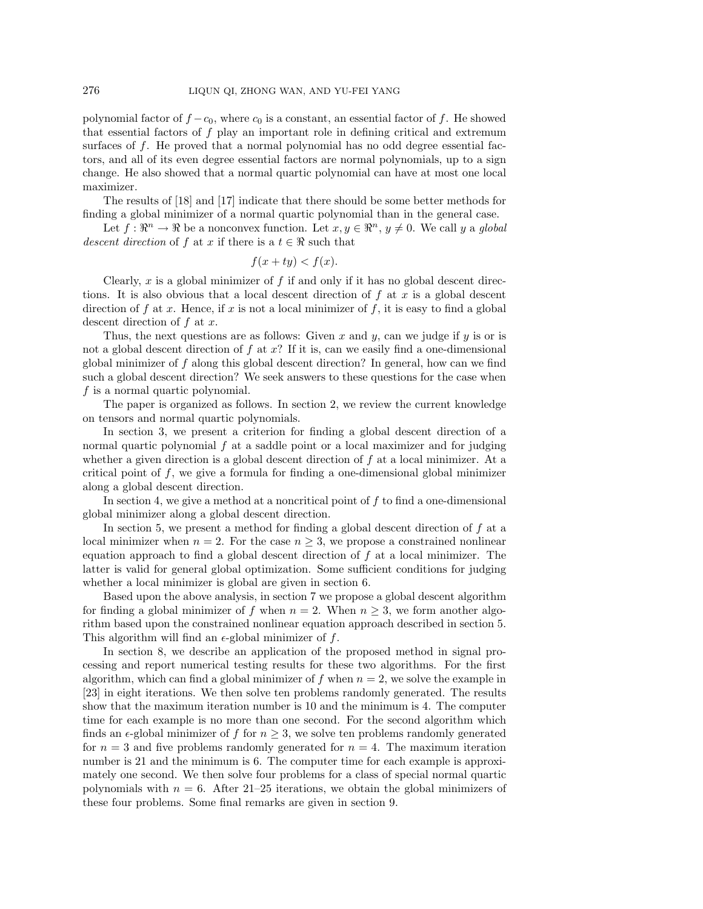polynomial factor of  $f - c_0$ , where  $c_0$  is a constant, an essential factor of f. He showed that essential factors of f play an important role in defining critical and extremum surfaces of f. He proved that a normal polynomial has no odd degree essential factors, and all of its even degree essential factors are normal polynomials, up to a sign change. He also showed that a normal quartic polynomial can have at most one local maximizer.

The results of [18] and [17] indicate that there should be some better methods for finding a global minimizer of a normal quartic polynomial than in the general case.

Let  $f: \mathbb{R}^n \to \mathbb{R}$  be a nonconvex function. Let  $x, y \in \mathbb{R}^n$ ,  $y \neq 0$ . We call y a global descent direction of f at x if there is a  $t \in \Re$  such that

$$
f(x + ty) < f(x).
$$

Clearly, x is a global minimizer of f if and only if it has no global descent directions. It is also obvious that a local descent direction of  $f$  at  $x$  is a global descent direction of f at x. Hence, if x is not a local minimizer of f, it is easy to find a global descent direction of  $f$  at  $x$ .

Thus, the next questions are as follows: Given x and y, can we judge if y is or is not a global descent direction of  $f$  at  $x$ ? If it is, can we easily find a one-dimensional global minimizer of f along this global descent direction? In general, how can we find such a global descent direction? We seek answers to these questions for the case when  $f$  is a normal quartic polynomial.

The paper is organized as follows. In section 2, we review the current knowledge on tensors and normal quartic polynomials.

In section 3, we present a criterion for finding a global descent direction of a normal quartic polynomial  $f$  at a saddle point or a local maximizer and for judging whether a given direction is a global descent direction of  $f$  at a local minimizer. At a critical point of  $f$ , we give a formula for finding a one-dimensional global minimizer along a global descent direction.

In section 4, we give a method at a noncritical point of  $f$  to find a one-dimensional global minimizer along a global descent direction.

In section 5, we present a method for finding a global descent direction of  $f$  at a local minimizer when  $n = 2$ . For the case  $n \geq 3$ , we propose a constrained nonlinear equation approach to find a global descent direction of  $f$  at a local minimizer. The latter is valid for general global optimization. Some sufficient conditions for judging whether a local minimizer is global are given in section 6.

Based upon the above analysis, in section 7 we propose a global descent algorithm for finding a global minimizer of f when  $n = 2$ . When  $n \geq 3$ , we form another algorithm based upon the constrained nonlinear equation approach described in section 5. This algorithm will find an  $\epsilon$ -global minimizer of f.

In section 8, we describe an application of the proposed method in signal processing and report numerical testing results for these two algorithms. For the first algorithm, which can find a global minimizer of f when  $n = 2$ , we solve the example in [23] in eight iterations. We then solve ten problems randomly generated. The results show that the maximum iteration number is 10 and the minimum is 4. The computer time for each example is no more than one second. For the second algorithm which finds an  $\epsilon$ -global minimizer of f for  $n \geq 3$ , we solve ten problems randomly generated for  $n = 3$  and five problems randomly generated for  $n = 4$ . The maximum iteration number is 21 and the minimum is 6. The computer time for each example is approximately one second. We then solve four problems for a class of special normal quartic polynomials with  $n = 6$ . After 21–25 iterations, we obtain the global minimizers of these four problems. Some final remarks are given in section 9.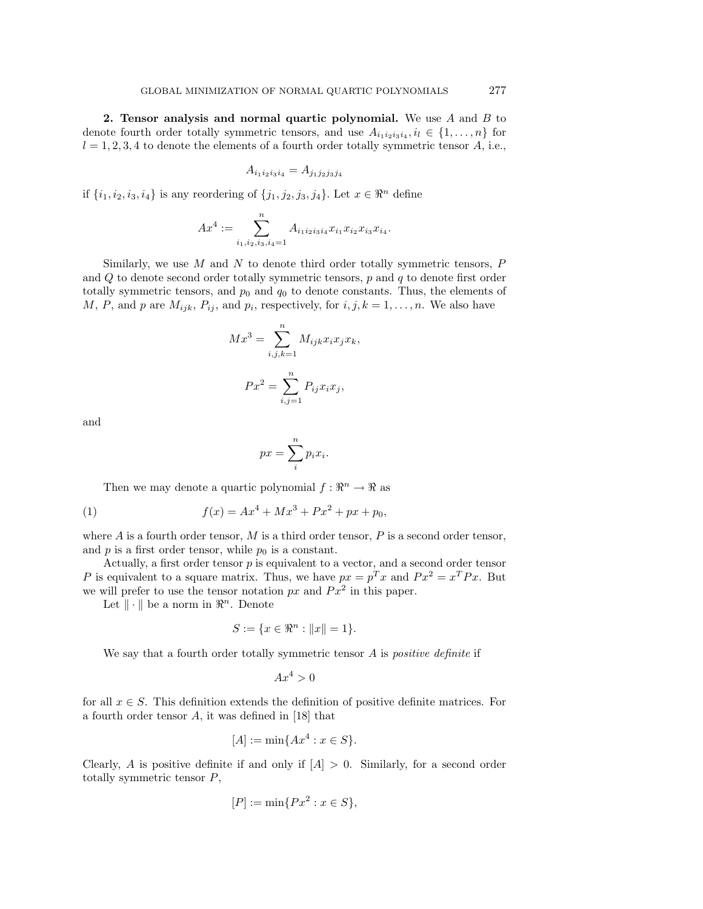**2. Tensor analysis and normal quartic polynomial.** We use A and B to denote fourth order totally symmetric tensors, and use  $A_{i_1i_2i_3i_4}, i_l \in \{1,\ldots,n\}$  for  $l = 1, 2, 3, 4$  to denote the elements of a fourth order totally symmetric tensor A, i.e.,

$$
A_{i_1 i_2 i_3 i_4} = A_{j_1 j_2 j_3 j_4}
$$

if  $\{i_1, i_2, i_3, i_4\}$  is any reordering of  $\{j_1, j_2, j_3, j_4\}$ . Let  $x \in \mathbb{R}^n$  define

$$
Ax^{4} := \sum_{i_{1},i_{2},i_{3},i_{4}=1}^{n} A_{i_{1}i_{2}i_{3}i_{4}}x_{i_{1}}x_{i_{2}}x_{i_{3}}x_{i_{4}}.
$$

Similarly, we use  $M$  and  $N$  to denote third order totally symmetric tensors,  $P$ and  $Q$  to denote second order totally symmetric tensors,  $p$  and  $q$  to denote first order totally symmetric tensors, and  $p_0$  and  $q_0$  to denote constants. Thus, the elements of M, P, and p are  $M_{ijk}$ ,  $P_{ij}$ , and  $p_i$ , respectively, for  $i, j, k = 1, \ldots, n$ . We also have

$$
Mx3 = \sum_{i,j,k=1}^{n} M_{ijk}x_ix_jx_k,
$$

$$
Px2 = \sum_{i,j=1}^{n} P_{ij}x_ix_j,
$$

and

$$
px = \sum_{i}^{n} p_i x_i.
$$

Then we may denote a quartic polynomial  $f : \mathbb{R}^n \to \mathbb{R}$  as

(1) 
$$
f(x) = Ax^4 + Mx^3 + Px^2 + px + p_0,
$$

where  $A$  is a fourth order tensor,  $M$  is a third order tensor,  $P$  is a second order tensor, and  $p$  is a first order tensor, while  $p_0$  is a constant.

Actually, a first order tensor  $p$  is equivalent to a vector, and a second order tensor P is equivalent to a square matrix. Thus, we have  $px = p^T x$  and  $Px^2 = x^T Px$ . But we will prefer to use the tensor notation  $px$  and  $Px^2$  in this paper.

Let  $\|\cdot\|$  be a norm in  $\mathbb{R}^n$ . Denote

$$
S := \{ x \in \Re^n : ||x|| = 1 \}.
$$

We say that a fourth order totally symmetric tensor  $A$  is *positive definite* if

$$
Ax^4 > 0
$$

for all  $x \in S$ . This definition extends the definition of positive definite matrices. For a fourth order tensor A, it was defined in [18] that

$$
[A] := \min\{Ax^4 : x \in S\}.
$$

Clearly, A is positive definite if and only if  $[A] > 0$ . Similarly, for a second order totally symmetric tensor P,

$$
[P] := \min\{Px^2 : x \in S\},\
$$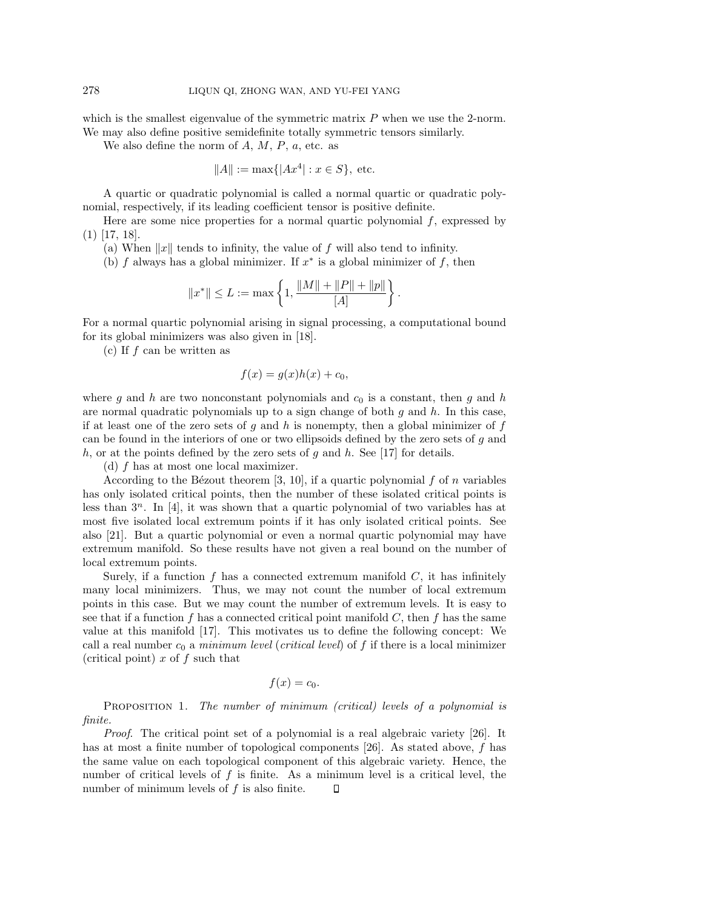which is the smallest eigenvalue of the symmetric matrix  $P$  when we use the 2-norm. We may also define positive semidefinite totally symmetric tensors similarly.

We also define the norm of  $A, M, P, a$ , etc. as

$$
||A|| := max{ |Ax^4| : x \in S }
$$
, etc.

A quartic or quadratic polynomial is called a normal quartic or quadratic polynomial, respectively, if its leading coefficient tensor is positive definite.

Here are some nice properties for a normal quartic polynomial  $f$ , expressed by (1) [17, 18].

(a) When  $||x||$  tends to infinity, the value of f will also tend to infinity.

(b) f always has a global minimizer. If  $x^*$  is a global minimizer of f, then

$$
||x^*|| \le L := \max \left\{ 1, \frac{||M|| + ||P|| + ||p||}{[A]} \right\}.
$$

For a normal quartic polynomial arising in signal processing, a computational bound for its global minimizers was also given in [18].

(c) If f can be written as

$$
f(x) = g(x)h(x) + c_0,
$$

where g and h are two nonconstant polynomials and  $c_0$  is a constant, then g and h are normal quadratic polynomials up to a sign change of both  $g$  and  $h$ . In this case, if at least one of the zero sets of  $g$  and  $h$  is nonempty, then a global minimizer of  $f$ can be found in the interiors of one or two ellipsoids defined by the zero sets of g and h, or at the points defined by the zero sets of g and h. See [17] for details.

(d) f has at most one local maximizer.

According to the Bézout theorem [3, 10], if a quartic polynomial f of n variables has only isolated critical points, then the number of these isolated critical points is less than  $3^n$ . In [4], it was shown that a quartic polynomial of two variables has at most five isolated local extremum points if it has only isolated critical points. See also [21]. But a quartic polynomial or even a normal quartic polynomial may have extremum manifold. So these results have not given a real bound on the number of local extremum points.

Surely, if a function  $f$  has a connected extremum manifold  $C$ , it has infinitely many local minimizers. Thus, we may not count the number of local extremum points in this case. But we may count the number of extremum levels. It is easy to see that if a function f has a connected critical point manifold  $C$ , then f has the same value at this manifold [17]. This motivates us to define the following concept: We call a real number  $c_0$  a minimum level (critical level) of f if there is a local minimizer (critical point)  $x$  of  $f$  such that

$$
f(x)=c_0.
$$

PROPOSITION 1. The number of minimum (critical) levels of a polynomial is finite.

Proof. The critical point set of a polynomial is a real algebraic variety [26]. It has at most a finite number of topological components [26]. As stated above, f has the same value on each topological component of this algebraic variety. Hence, the number of critical levels of  $f$  is finite. As a minimum level is a critical level, the number of minimum levels of  $f$  is also finite.  $\Box$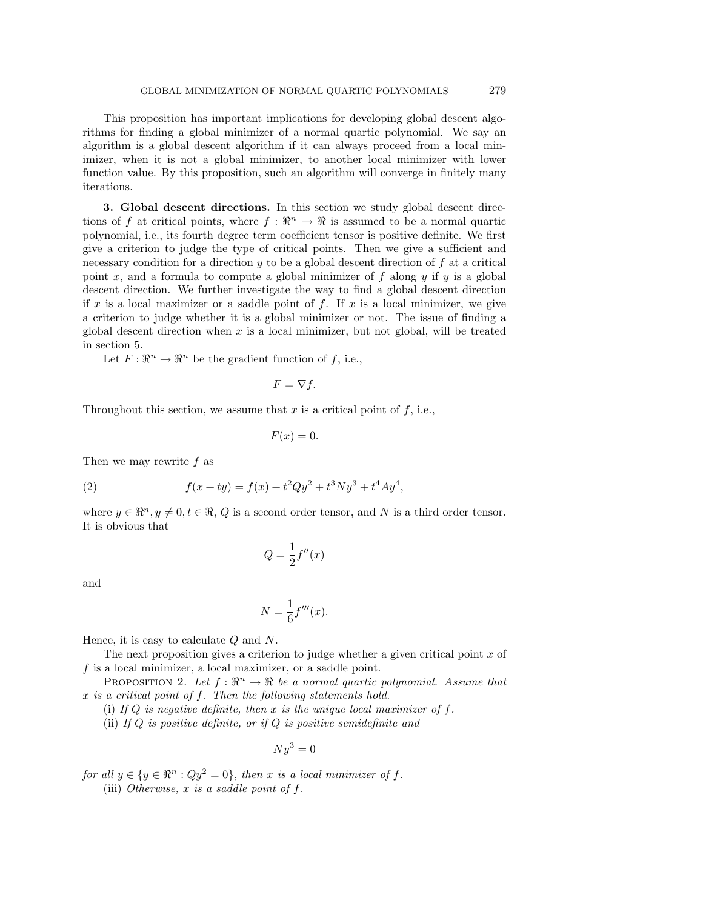This proposition has important implications for developing global descent algorithms for finding a global minimizer of a normal quartic polynomial. We say an algorithm is a global descent algorithm if it can always proceed from a local minimizer, when it is not a global minimizer, to another local minimizer with lower function value. By this proposition, such an algorithm will converge in finitely many iterations.

**3. Global descent directions.** In this section we study global descent directions of f at critical points, where  $f : \mathbb{R}^n \to \mathbb{R}$  is assumed to be a normal quartic polynomial, i.e., its fourth degree term coefficient tensor is positive definite. We first give a criterion to judge the type of critical points. Then we give a sufficient and necessary condition for a direction  $y$  to be a global descent direction of  $f$  at a critical point x, and a formula to compute a global minimizer of f along y if y is a global descent direction. We further investigate the way to find a global descent direction if x is a local maximizer or a saddle point of f. If x is a local minimizer, we give a criterion to judge whether it is a global minimizer or not. The issue of finding a global descent direction when  $x$  is a local minimizer, but not global, will be treated in section 5.

Let  $F: \mathbb{R}^n \to \mathbb{R}^n$  be the gradient function of f, i.e.,

$$
F=\nabla f.
$$

Throughout this section, we assume that  $x$  is a critical point of  $f$ , i.e.,

$$
F(x) = 0.
$$

Then we may rewrite  $f$  as

(2) 
$$
f(x+ty) = f(x) + t^2 Qy^2 + t^3 Ny^3 + t^4 Ay^4,
$$

where  $y \in \mathbb{R}^n, y \neq 0, t \in \mathbb{R}, Q$  is a second order tensor, and N is a third order tensor. It is obvious that

$$
Q=\frac{1}{2}f''(x)
$$

and

$$
N = \frac{1}{6}f'''(x).
$$

Hence, it is easy to calculate  $Q$  and  $N$ .

The next proposition gives a criterion to judge whether a given critical point  $x$  of  $f$  is a local minimizer, a local maximizer, or a saddle point.

PROPOSITION 2. Let  $f : \mathbb{R}^n \to \mathbb{R}$  be a normal quartic polynomial. Assume that  $x$  is a critical point of  $f$ . Then the following statements hold.

(i) If  $Q$  is negative definite, then x is the unique local maximizer of  $f$ .

(ii) If  $Q$  is positive definite, or if  $Q$  is positive semidefinite and

$$
Ny^3 = 0
$$

for all  $y \in \{y \in \mathbb{R}^n : Qy^2 = 0\}$ , then x is a local minimizer of f.

(iii) Otherwise,  $x$  is a saddle point of  $f$ .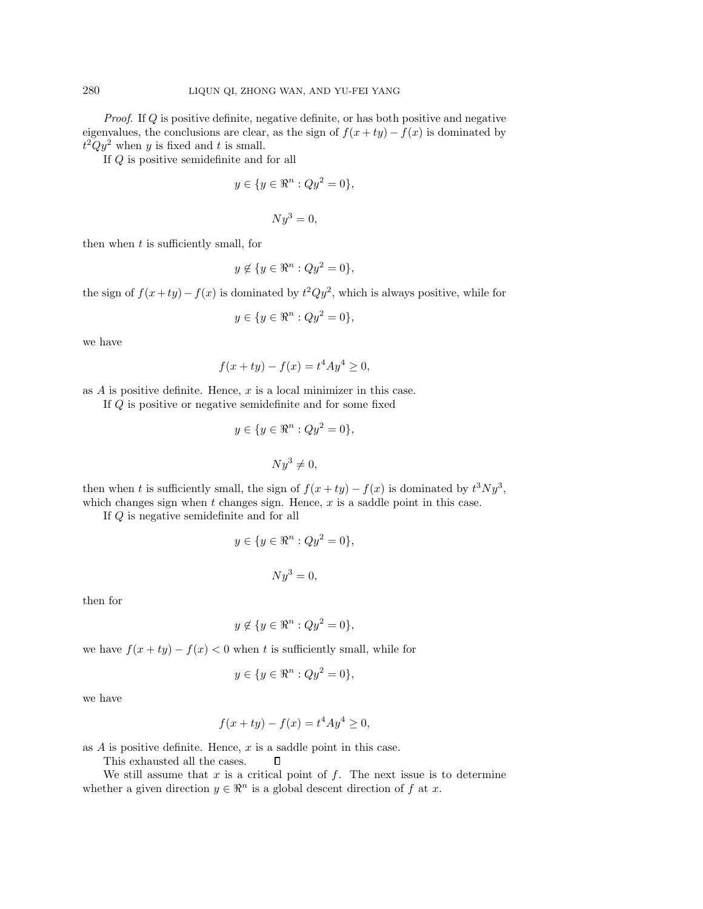Proof. If Q is positive definite, negative definite, or has both positive and negative eigenvalues, the conclusions are clear, as the sign of  $f(x + ty) - f(x)$  is dominated by  $t^2Qy^2$  when y is fixed and t is small.

If Q is positive semidefinite and for all

$$
y \in \{ y \in \mathbb{R}^n : Qy^2 = 0 \},
$$

$$
Ny^3=0,
$$

then when  $t$  is sufficiently small, for

$$
y \notin \{ y \in \mathbb{R}^n : Qy^2 = 0 \},
$$

the sign of  $f(x+ty) - f(x)$  is dominated by  $t^2Qy^2$ , which is always positive, while for

$$
y \in \{ y \in \mathbb{R}^n : Qy^2 = 0 \},
$$

we have

$$
f(x + ty) - f(x) = t^4 A y^4 \ge 0,
$$

as  $A$  is positive definite. Hence,  $x$  is a local minimizer in this case.

If Q is positive or negative semidefinite and for some fixed

$$
y \in \{y \in \mathbb{R}^n : Qy^2 = 0\},\
$$

$$
Ny^3 \neq 0,
$$

then when t is sufficiently small, the sign of  $f(x+ty) - f(x)$  is dominated by  $t^3Ny^3$ , which changes sign when  $t$  changes sign. Hence,  $x$  is a saddle point in this case.

If Q is negative semidefinite and for all

$$
y \in \{ y \in \mathbb{R}^n : Qy^2 = 0 \},\
$$

$$
Ny^3=0,
$$

then for

$$
y \notin \{ y \in \mathbb{R}^n : Qy^2 = 0 \},
$$

we have  $f(x + ty) - f(x) < 0$  when t is sufficiently small, while for

$$
y \in \{y \in \mathbb{R}^n : Qy^2 = 0\},\
$$

we have

$$
f(x + ty) - f(x) = t^4 A y^4 \ge 0,
$$

as  $A$  is positive definite. Hence,  $x$  is a saddle point in this case.

This exhausted all the cases.

We still assume that  $x$  is a critical point of  $f$ . The next issue is to determine whether a given direction  $y \in \mathbb{R}^n$  is a global descent direction of f at x.

 $\Box$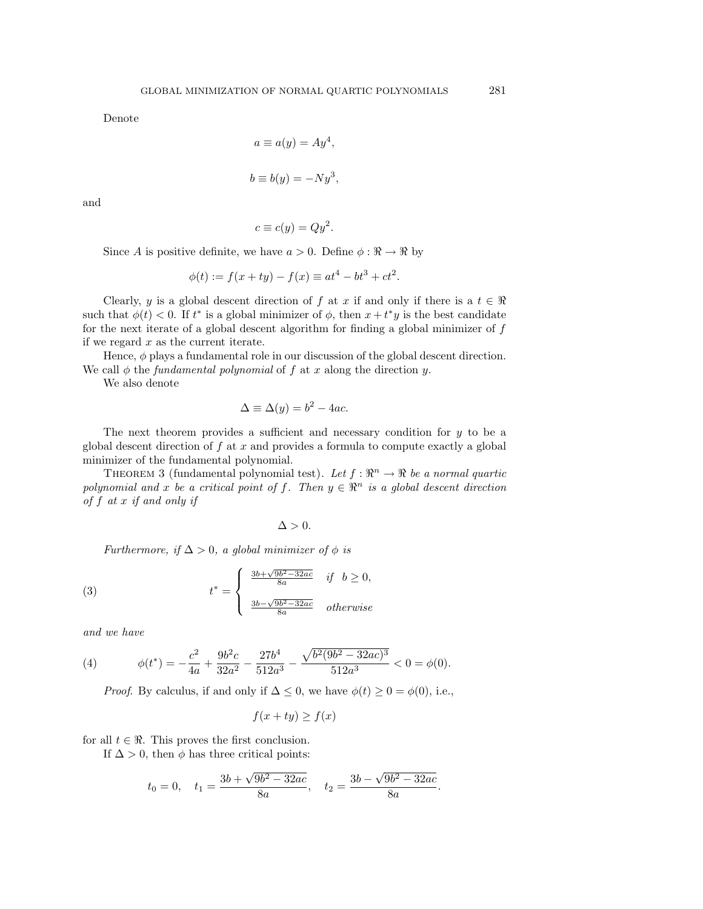Denote

$$
a \equiv a(y) = Ay^{4},
$$
  

$$
b \equiv b(y) = -Ny^{3},
$$

and

$$
c \equiv c(y) = Qy^2.
$$

Since A is positive definite, we have  $a > 0$ . Define  $\phi : \mathbb{R} \to \mathbb{R}$  by

$$
\phi(t) := f(x + ty) - f(x) \equiv at^4 - bt^3 + ct^2.
$$

Clearly, y is a global descent direction of f at x if and only if there is a  $t \in \Re$ such that  $\phi(t) < 0$ . If  $t^*$  is a global minimizer of  $\phi$ , then  $x + t^*y$  is the best candidate for the next iterate of a global descent algorithm for finding a global minimizer of  $f$ if we regard  $x$  as the current iterate.

Hence,  $\phi$  plays a fundamental role in our discussion of the global descent direction. We call  $\phi$  the *fundamental polynomial* of f at x along the direction y.

We also denote

$$
\Delta \equiv \Delta(y) = b^2 - 4ac.
$$

The next theorem provides a sufficient and necessary condition for y to be a global descent direction of  $f$  at  $x$  and provides a formula to compute exactly a global minimizer of the fundamental polynomial.

THEOREM 3 (fundamental polynomial test). Let  $f : \mathbb{R}^n \to \mathbb{R}$  be a normal quartic polynomial and x be a critical point of f. Then  $y \in \mathbb{R}^n$  is a global descent direction of f at x if and only if

$$
\Delta > 0.
$$

Furthermore, if  $\Delta > 0$ , a global minimizer of  $\phi$  is

(3) 
$$
t^* = \begin{cases} \frac{3b + \sqrt{9b^2 - 32ac}}{8a} & \text{if } b \ge 0, \\ \frac{3b - \sqrt{9b^2 - 32ac}}{8a} & \text{otherwise} \end{cases}
$$

and we have

(4) 
$$
\phi(t^*) = -\frac{c^2}{4a} + \frac{9b^2c}{32a^2} - \frac{27b^4}{512a^3} - \frac{\sqrt{b^2(9b^2 - 32ac)^3}}{512a^3} < 0 = \phi(0).
$$

*Proof.* By calculus, if and only if  $\Delta \leq 0$ , we have  $\phi(t) \geq 0 = \phi(0)$ , i.e.,

$$
f(x + ty) \ge f(x)
$$

for all  $t \in \Re$ . This proves the first conclusion.

If  $\Delta > 0$ , then  $\phi$  has three critical points:

$$
t_0 = 0
$$
,  $t_1 = \frac{3b + \sqrt{9b^2 - 32ac}}{8a}$ ,  $t_2 = \frac{3b - \sqrt{9b^2 - 32ac}}{8a}$ .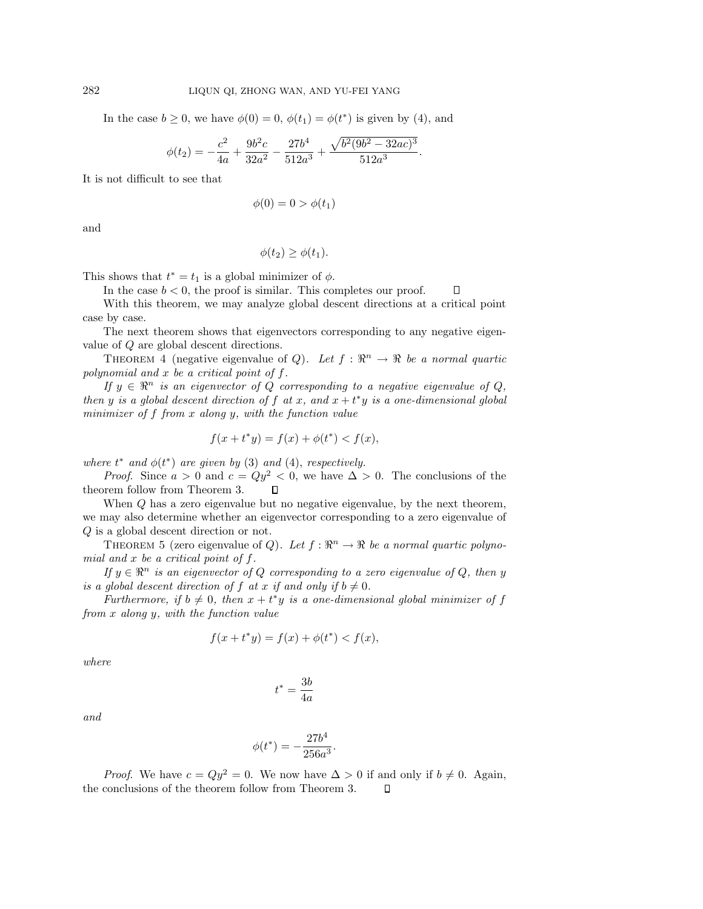In the case  $b \geq 0$ , we have  $\phi(0) = 0$ ,  $\phi(t_1) = \phi(t^*)$  is given by (4), and

$$
\phi(t_2) = -\frac{c^2}{4a} + \frac{9b^2c}{32a^2} - \frac{27b^4}{512a^3} + \frac{\sqrt{b^2(9b^2 - 32ac)^3}}{512a^3}.
$$

It is not difficult to see that

$$
\phi(0) = 0 > \phi(t_1)
$$

and

$$
\phi(t_2) \ge \phi(t_1).
$$

This shows that  $t^* = t_1$  is a global minimizer of  $\phi$ .

In the case  $b < 0$ , the proof is similar. This completes our proof.  $\Box$ 

With this theorem, we may analyze global descent directions at a critical point case by case.

The next theorem shows that eigenvectors corresponding to any negative eigenvalue of Q are global descent directions.

THEOREM 4 (negative eigenvalue of Q). Let  $f : \mathbb{R}^n \to \mathbb{R}$  be a normal quartic polynomial and  $x$  be a critical point of  $f$ .

If  $y \in \mathbb{R}^n$  is an eigenvector of Q corresponding to a negative eigenvalue of Q, then y is a global descent direction of f at x, and  $x + t^*y$  is a one-dimensional global minimizer of  $f$  from  $x$  along  $y$ , with the function value

$$
f(x + t^*y) = f(x) + \phi(t^*) < f(x),
$$

where  $t^*$  and  $\phi(t^*)$  are given by (3) and (4), respectively.

*Proof.* Since  $a > 0$  and  $c = Qy^2 < 0$ , we have  $\Delta > 0$ . The conclusions of the  $\Box$ theorem follow from Theorem 3.

When Q has a zero eigenvalue but no negative eigenvalue, by the next theorem, we may also determine whether an eigenvector corresponding to a zero eigenvalue of Q is a global descent direction or not.

THEOREM 5 (zero eigenvalue of Q). Let  $f : \mathbb{R}^n \to \mathbb{R}$  be a normal quartic polynomial and  $x$  be a critical point of  $f$ .

If  $y \in \mathbb{R}^n$  is an eigenvector of Q corresponding to a zero eigenvalue of Q, then y is a global descent direction of f at x if and only if  $b \neq 0$ .

Furthermore, if  $b \neq 0$ , then  $x + t^*y$  is a one-dimensional global minimizer of f from x along y, with the function value

$$
f(x + t^*y) = f(x) + \phi(t^*) < f(x),
$$

where

$$
t^* = \frac{3b}{4a}
$$

and

$$
\phi(t^*) = -\frac{27b^4}{256a^3}.
$$

*Proof.* We have  $c = Qy^2 = 0$ . We now have  $\Delta > 0$  if and only if  $b \neq 0$ . Again, the conclusions of the theorem follow from Theorem 3. $\Box$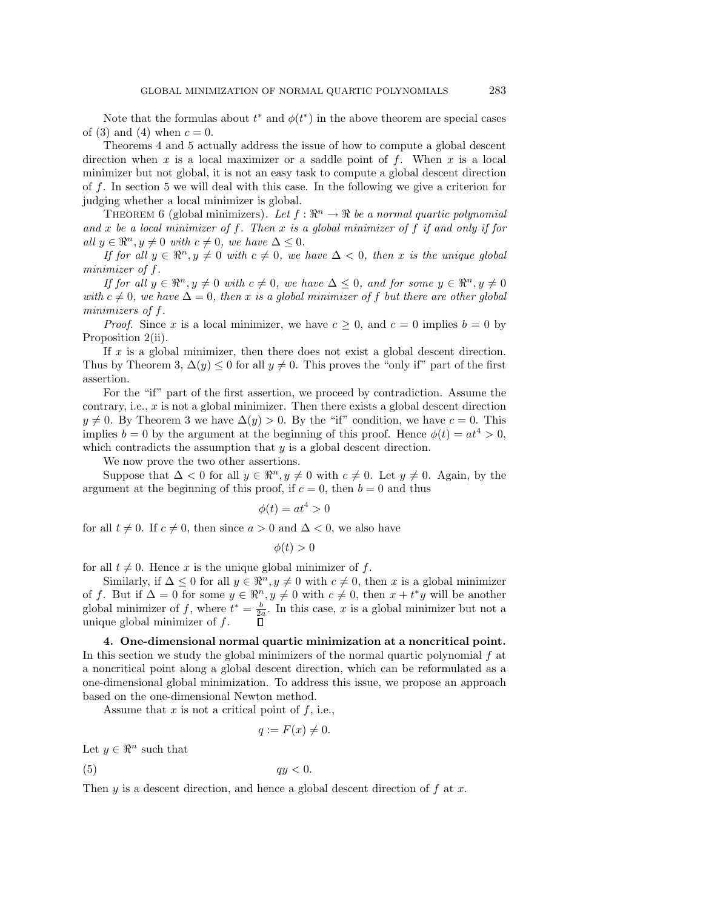Note that the formulas about  $t^*$  and  $\phi(t^*)$  in the above theorem are special cases of (3) and (4) when  $c = 0$ .

Theorems 4 and 5 actually address the issue of how to compute a global descent direction when x is a local maximizer or a saddle point of f. When x is a local minimizer but not global, it is not an easy task to compute a global descent direction of f. In section 5 we will deal with this case. In the following we give a criterion for judging whether a local minimizer is global.

THEOREM 6 (global minimizers). Let  $f : \mathbb{R}^n \to \mathbb{R}$  be a normal quartic polynomial and x be a local minimizer of f. Then x is a global minimizer of f if and only if for all  $y \in \mathbb{R}^n, y \neq 0$  with  $c \neq 0$ , we have  $\Delta \leq 0$ .

If for all  $y \in \mathbb{R}^n, y \neq 0$  with  $c \neq 0$ , we have  $\Delta < 0$ , then x is the unique global minimizer of f.

If for all  $y \in \mathbb{R}^n, y \neq 0$  with  $c \neq 0$ , we have  $\Delta \leq 0$ , and for some  $y \in \mathbb{R}^n, y \neq 0$ with  $c \neq 0$ , we have  $\Delta = 0$ , then x is a global minimizer of f but there are other global minimizers of f.

*Proof.* Since x is a local minimizer, we have  $c \geq 0$ , and  $c = 0$  implies  $b = 0$  by Proposition 2(ii).

If  $x$  is a global minimizer, then there does not exist a global descent direction. Thus by Theorem 3,  $\Delta(y) \leq 0$  for all  $y \neq 0$ . This proves the "only if" part of the first assertion.

For the "if" part of the first assertion, we proceed by contradiction. Assume the contrary, i.e.,  $x$  is not a global minimizer. Then there exists a global descent direction  $y \neq 0$ . By Theorem 3 we have  $\Delta(y) > 0$ . By the "if" condition, we have  $c = 0$ . This implies  $b = 0$  by the argument at the beginning of this proof. Hence  $\phi(t) = at^4 > 0$ , which contradicts the assumption that  $y$  is a global descent direction.

We now prove the two other assertions.

Suppose that  $\Delta < 0$  for all  $y \in \mathbb{R}^n, y \neq 0$  with  $c \neq 0$ . Let  $y \neq 0$ . Again, by the argument at the beginning of this proof, if  $c = 0$ , then  $b = 0$  and thus

$$
\phi(t) = at^4 > 0
$$

for all  $t \neq 0$ . If  $c \neq 0$ , then since  $a > 0$  and  $\Delta < 0$ , we also have

$$
\phi(t) > 0
$$

for all  $t \neq 0$ . Hence x is the unique global minimizer of f.

Similarly, if  $\Delta \leq 0$  for all  $y \in \mathbb{R}^n, y \neq 0$  with  $c \neq 0$ , then x is a global minimizer of f. But if  $\Delta = 0$  for some  $y \in \mathbb{R}^n, y \neq 0$  with  $c \neq 0$ , then  $x + t^*y$  will be another global minimizer of f, where  $t^* = \frac{b}{2a}$ . In this case, x is a global minimizer but not a unique global minimizer of  $f$ .

**4. One-dimensional normal quartic minimization at a noncritical point.** In this section we study the global minimizers of the normal quartic polynomial  $f$  at a noncritical point along a global descent direction, which can be reformulated as a one-dimensional global minimization. To address this issue, we propose an approach based on the one-dimensional Newton method.

Assume that  $x$  is not a critical point of  $f$ , i.e.,

$$
q := F(x) \neq 0.
$$

Let  $y \in \mathbb{R}^n$  such that

(5)  $qy < 0$ .

Then  $y$  is a descent direction, and hence a global descent direction of  $f$  at  $x$ .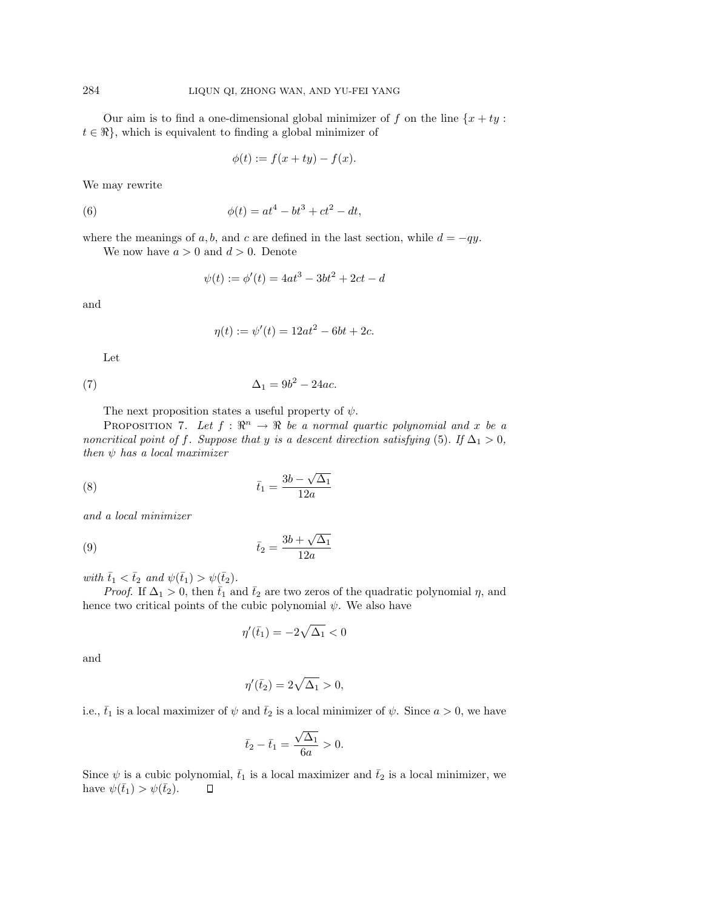Our aim is to find a one-dimensional global minimizer of f on the line  $\{x + ty:$  $t \in \mathbb{R}$ , which is equivalent to finding a global minimizer of

$$
\phi(t) := f(x + ty) - f(x).
$$

We may rewrite

(6) 
$$
\phi(t) = at^4 - bt^3 + ct^2 - dt,
$$

where the meanings of a, b, and c are defined in the last section, while  $d = -qy$ .

We now have  $a > 0$  and  $d > 0$ . Denote

$$
\psi(t) := \phi'(t) = 4at^3 - 3bt^2 + 2ct - d
$$

and

$$
\eta(t) := \psi'(t) = 12at^2 - 6bt + 2c.
$$

Let

$$
\Delta_1 = 9b^2 - 24ac.
$$

The next proposition states a useful property of  $\psi$ .

PROPOSITION 7. Let  $f : \mathbb{R}^n \to \mathbb{R}$  be a normal quartic polynomial and x be a noncritical point of f. Suppose that y is a descent direction satisfying (5). If  $\Delta_1 > 0$ , then  $\psi$  has a local maximizer

$$
\bar{t}_1 = \frac{3b - \sqrt{\Delta_1}}{12a}
$$

and a local minimizer

$$
\bar{t}_2 = \frac{3b + \sqrt{\Delta_1}}{12a}
$$

with  $\bar{t}_1 < \bar{t}_2$  and  $\psi(\bar{t}_1) > \psi(\bar{t}_2)$ .

*Proof.* If  $\Delta_1 > 0$ , then  $\bar{t}_1$  and  $\bar{t}_2$  are two zeros of the quadratic polynomial  $\eta$ , and hence two critical points of the cubic polynomial  $\psi$ . We also have

$$
\eta'(\bar{t}_1) = -2\sqrt{\Delta_1} < 0
$$

and

$$
\eta'(\bar{t}_2) = 2\sqrt{\Delta_1} > 0,
$$

i.e.,  $\bar{t}_1$  is a local maximizer of  $\psi$  and  $\bar{t}_2$  is a local minimizer of  $\psi$ . Since  $a > 0$ , we have

$$
\bar{t}_2 - \bar{t}_1 = \frac{\sqrt{\Delta_1}}{6a} > 0.
$$

Since  $\psi$  is a cubic polynomial,  $\bar{t}_1$  is a local maximizer and  $\bar{t}_2$  is a local minimizer, we have  $\psi(\bar{t}_1) > \psi(\bar{t}_2)$ .  $\Box$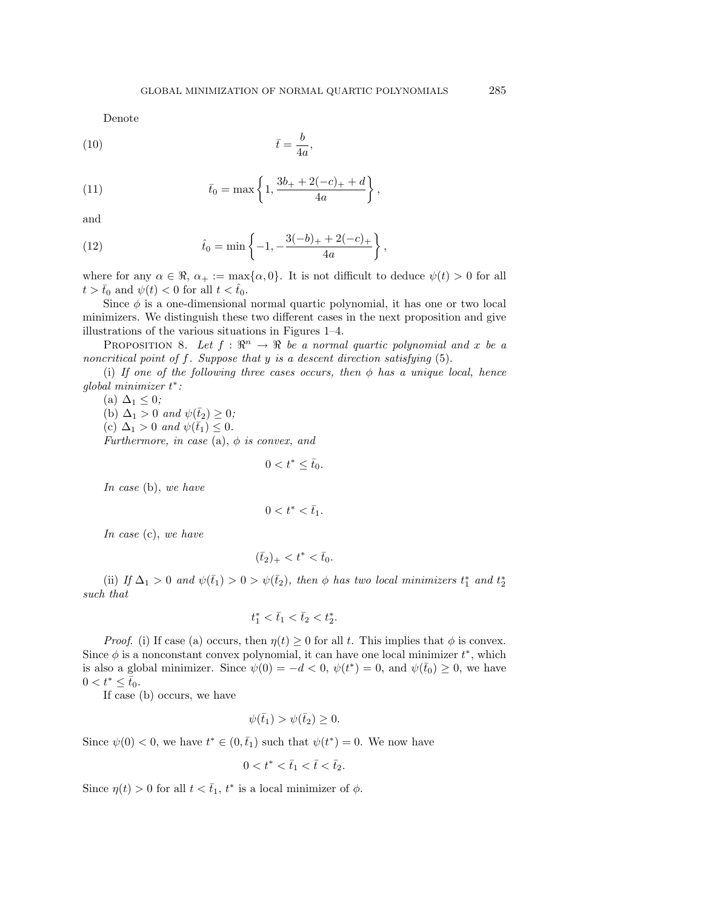Denote

$$
\bar{t} = \frac{b}{4a},
$$

(11) 
$$
\bar{t}_0 = \max\left\{1, \frac{3b_+ + 2(-c)_+ + d}{4a}\right\},\,
$$

and

(12) 
$$
\hat{t}_0 = \min\left\{-1, -\frac{3(-b)_+ + 2(-c)_+}{4a}\right\},\,
$$

where for any  $\alpha \in \mathbb{R}$ ,  $\alpha_+ := \max{\{\alpha, 0\}}$ . It is not difficult to deduce  $\psi(t) > 0$  for all  $t > \bar{t}_0$  and  $\psi(t) < 0$  for all  $t < \hat{t}_0$ .

Since  $\phi$  is a one-dimensional normal quartic polynomial, it has one or two local minimizers. We distinguish these two different cases in the next proposition and give illustrations of the various situations in Figures 1–4.

PROPOSITION 8. Let  $f : \mathbb{R}^n \to \mathbb{R}$  be a normal quartic polynomial and x be a noncritical point of  $f$ . Suppose that  $y$  is a descent direction satisfying  $(5)$ .

(i) If one of the following three cases occurs, then  $\phi$  has a unique local, hence global minimizer t ∗:

(a)  $\Delta_1 \leq 0$ ; (b)  $\Delta_1 > 0$  and  $\psi(\bar{t}_2) \geq 0$ ; (c)  $\Delta_1 > 0$  and  $\psi(\bar{t}_1) \leq 0$ . Furthermore, in case (a),  $\phi$  is convex, and

$$
0 < t^* \leq \bar{t}_0.
$$

In case (b), we have

$$
0
$$

In case (c), we have

$$
(\bar{t}_2)_+ < t^* < \bar{t}_0.
$$

(ii) If  $\Delta_1 > 0$  and  $\psi(\bar{t}_1) > 0 > \psi(\bar{t}_2)$ , then  $\phi$  has two local minimizers  $t_1^*$  and  $t_2^*$ such that

$$
t_1^*<\bar{t}_1<\bar{t}_2
$$

*Proof.* (i) If case (a) occurs, then  $\eta(t) \geq 0$  for all t. This implies that  $\phi$  is convex. Since  $\phi$  is a nonconstant convex polynomial, it can have one local minimizer  $t^*$ , which is also a global minimizer. Since  $\psi(0) = -d < 0$ ,  $\psi(t^*) = 0$ , and  $\psi(\bar{t}_0) \geq 0$ , we have  $0 < t^* \leq \bar{t}_0.$ 

If case (b) occurs, we have

$$
\psi(\bar{t}_1) > \psi(\bar{t}_2) \ge 0.
$$

Since  $\psi(0) < 0$ , we have  $t^* \in (0, \bar{t}_1)$  such that  $\psi(t^*) = 0$ . We now have

$$
0 < t^* < \bar{t}_1 < \bar{t} < \bar{t}_2.
$$

Since  $\eta(t) > 0$  for all  $t < \bar{t}_1$ ,  $t^*$  is a local minimizer of  $\phi$ .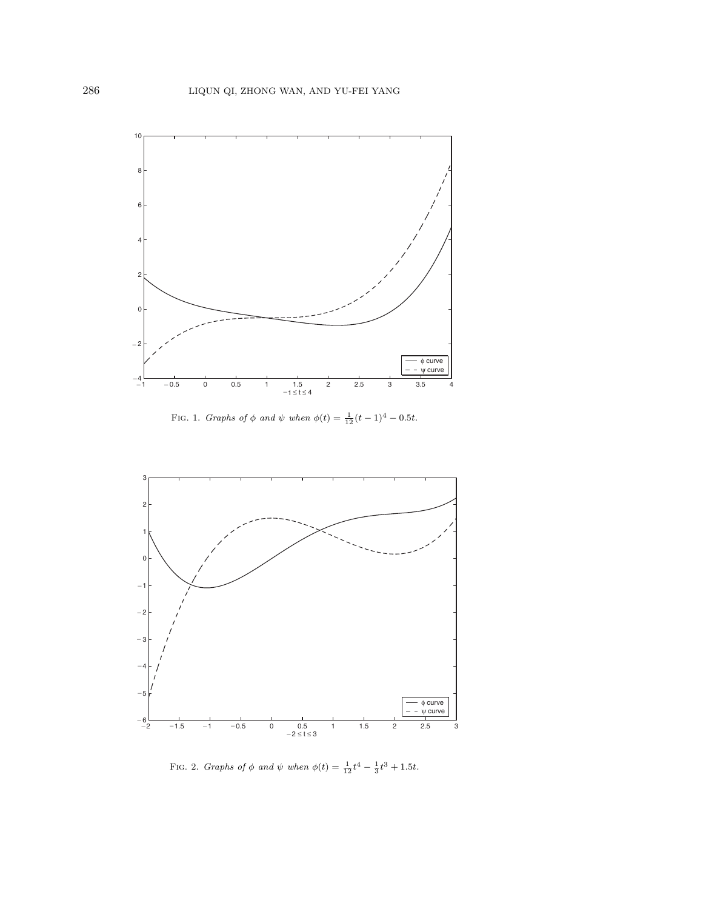

FIG. 1. *Graphs of*  $\phi$  *and*  $\psi$  *when*  $\phi(t) = \frac{1}{12}(t-1)^4 - 0.5t$ .



FIG. 2. *Graphs of*  $\phi$  *and*  $\psi$  *when*  $\phi(t) = \frac{1}{12}t^4 - \frac{1}{3}t^3 + 1.5t$ .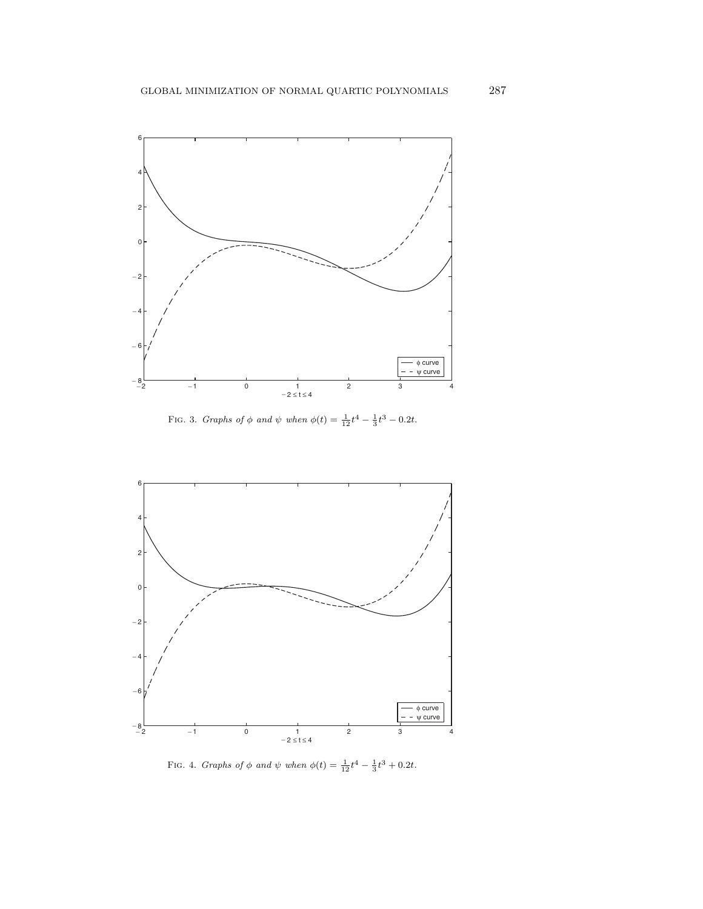

FIG. 3. *Graphs of*  $\phi$  *and*  $\psi$  *when*  $\phi(t) = \frac{1}{12}t^4 - \frac{1}{3}t^3 - 0.2t$ .



FIG. 4. *Graphs of*  $\phi$  *and*  $\psi$  *when*  $\phi(t) = \frac{1}{12}t^4 - \frac{1}{3}t^3 + 0.2t$ .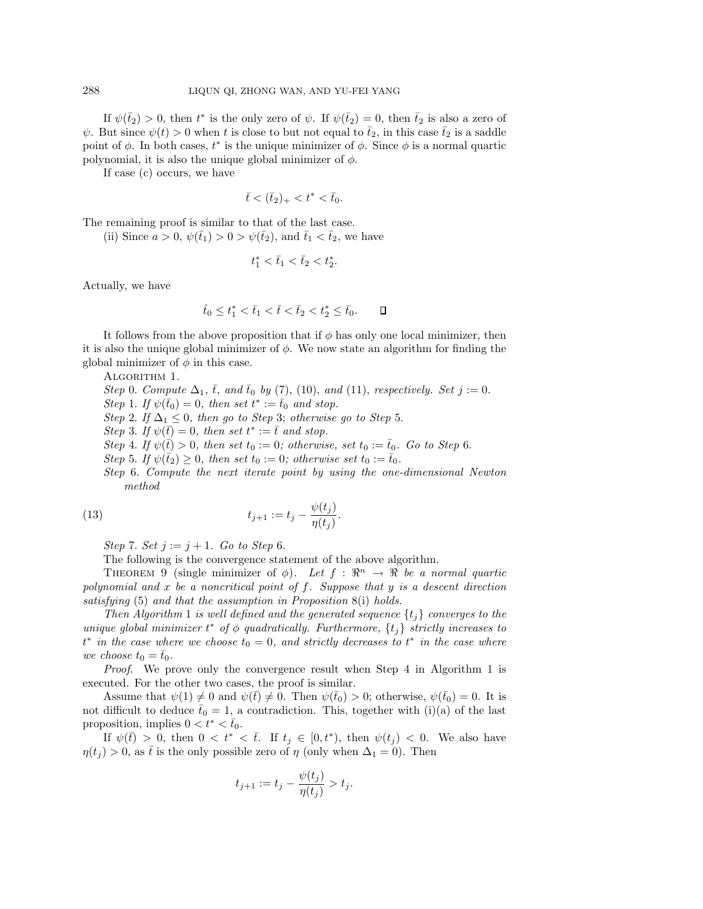If  $\psi(\bar{t}_2) > 0$ , then  $t^*$  is the only zero of  $\psi$ . If  $\psi(\bar{t}_2) = 0$ , then  $\bar{t}_2$  is also a zero of  $\psi$ . But since  $\psi(t) > 0$  when t is close to but not equal to  $\bar{t}_2$ , in this case  $\bar{t}_2$  is a saddle point of  $\phi$ . In both cases,  $t^*$  is the unique minimizer of  $\phi$ . Since  $\phi$  is a normal quartic polynomial, it is also the unique global minimizer of  $\phi$ .

If case (c) occurs, we have

 $\bar{t} < (\bar{t}_2)_+ < t^* < \bar{t}_0.$ 

The remaining proof is similar to that of the last case.

(ii) Since  $a > 0$ ,  $\psi(\bar{t}_1) > 0 > \psi(\bar{t}_2)$ , and  $\bar{t}_1 < \bar{t}_2$ , we have

$$
t_1^* < \bar{t}_1 < \bar{t}_2 < t_2^*.
$$

Actually, we have

$$
\hat{t}_0 \le t_1^* < \bar{t}_1 < \bar{t} < \bar{t}_2 < t_2^* \le \bar{t}_0. \qquad \Box
$$

It follows from the above proposition that if  $\phi$  has only one local minimizer, then it is also the unique global minimizer of  $\phi$ . We now state an algorithm for finding the global minimizer of  $\phi$  in this case.

ALGORITHM 1.

Step 0. Compute  $\Delta_1$ ,  $\bar{t}$ , and  $\bar{t}_0$  by (7), (10), and (11), respectively. Set  $j := 0$ . Step 1. If  $\psi(\bar{t}_0) = 0$ , then set  $t^* := \bar{t}_0$  and stop. Step 2. If  $\Delta_1 \leq 0$ , then go to Step 3; otherwise go to Step 5.

Step 3. If  $\psi(\bar{t}) = 0$ , then set  $t^* := \bar{t}$  and stop.

Step 4. If  $\psi(\overline{t}) > 0$ , then set  $t_0 := 0$ ; otherwise, set  $t_0 := \overline{t}_0$ . Go to Step 6.

Step 5. If  $\psi(\bar{t}_2) \geq 0$ , then set  $t_0 := 0$ ; otherwise set  $t_0 := \bar{t}_0$ .

Step 6. Compute the next iterate point by using the one-dimensional Newton method

(13) 
$$
t_{j+1} := t_j - \frac{\psi(t_j)}{\eta(t_j)}.
$$

Step 7. Set  $j := j + 1$ . Go to Step 6.

The following is the convergence statement of the above algorithm.

THEOREM 9 (single minimizer of  $\phi$ ). Let  $f : \mathbb{R}^n \to \mathbb{R}$  be a normal quartic polynomial and  $x$  be a noncritical point of  $f$ . Suppose that  $y$  is a descent direction satisfying (5) and that the assumption in Proposition 8(i) holds.

Then Algorithm 1 is well defined and the generated sequence  $\{t_j\}$  converges to the unique global minimizer  $t^*$  of  $\phi$  quadratically. Furthermore,  $\{t_j\}$  strictly increases to  $t^*$  in the case where we choose  $t_0 = 0$ , and strictly decreases to  $t^*$  in the case where we choose  $t_0 = \bar{t}_0$ .

Proof. We prove only the convergence result when Step 4 in Algorithm 1 is executed. For the other two cases, the proof is similar.

Assume that  $\psi(1) \neq 0$  and  $\psi(\bar{t}) \neq 0$ . Then  $\psi(\bar{t}_0) > 0$ ; otherwise,  $\psi(\bar{t}_0) = 0$ . It is not difficult to deduce  $\bar{t}_0 = 1$ , a contradiction. This, together with (i)(a) of the last proposition, implies  $0 < t^* < \bar{t}_0$ .

If  $\psi(\bar{t}) > 0$ , then  $0 < t^* < \bar{t}$ . If  $t_j \in [0, t^*)$ , then  $\psi(t_j) < 0$ . We also have  $\eta(t_j) > 0$ , as  $\bar{t}$  is the only possible zero of  $\eta$  (only when  $\Delta_1 = 0$ ). Then

$$
t_{j+1} := t_j - \frac{\psi(t_j)}{\eta(t_j)} > t_j.
$$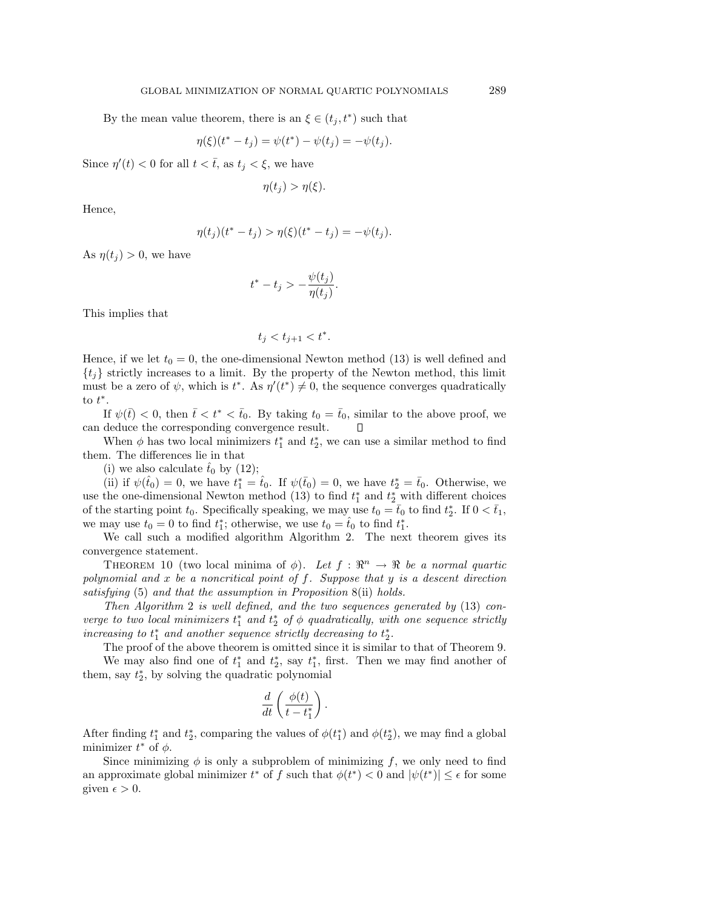By the mean value theorem, there is an  $\xi \in (t_j, t^*)$  such that

$$
\eta(\xi)(t^* - t_j) = \psi(t^*) - \psi(t_j) = -\psi(t_j).
$$

Since  $\eta'(t) < 0$  for all  $t < \overline{t}$ , as  $t_j < \xi$ , we have

$$
\eta(t_j) > \eta(\xi).
$$

Hence,

$$
\eta(t_j)(t^* - t_j) > \eta(\xi)(t^* - t_j) = -\psi(t_j).
$$

As  $\eta(t_i) > 0$ , we have

$$
t^*-t_j > -\frac{\psi(t_j)}{\eta(t_j)}.
$$

This implies that

$$
t_j < t_{j+1} < t^*.
$$

Hence, if we let  $t_0 = 0$ , the one-dimensional Newton method (13) is well defined and  ${t<sub>i</sub>}$  strictly increases to a limit. By the property of the Newton method, this limit must be a zero of  $\psi$ , which is  $t^*$ . As  $\eta'(t^*) \neq 0$ , the sequence converges quadratically to  $t^*$ .

If  $\psi(\bar{t}) < 0$ , then  $\bar{t} < t^* < \bar{t}_0$ . By taking  $t_0 = \bar{t}_0$ , similar to the above proof, we can deduce the corresponding convergence result. Л

When  $\phi$  has two local minimizers  $t_1^*$  and  $t_2^*$ , we can use a similar method to find them. The differences lie in that

(i) we also calculate  $\hat{t}_0$  by (12);

(ii) if  $\psi(\hat{t}_0) = 0$ , we have  $t_1^* = \hat{t}_0$ . If  $\psi(\bar{t}_0) = 0$ , we have  $t_2^* = \bar{t}_0$ . Otherwise, we use the one-dimensional Newton method (13) to find  $t_1^*$  and  $t_2^*$  with different choices of the starting point  $t_0$ . Specifically speaking, we may use  $t_0 = \bar{t}_0$  to find  $t_2^*$ . If  $0 < \bar{t}_1$ , we may use  $t_0 = 0$  to find  $t_1^*$ ; otherwise, we use  $t_0 = \hat{t}_0$  to find  $t_1^*$ .

We call such a modified algorithm Algorithm 2. The next theorem gives its convergence statement.

THEOREM 10 (two local minima of  $\phi$ ). Let  $f : \mathbb{R}^n \to \mathbb{R}$  be a normal quartic polynomial and x be a noncritical point of f. Suppose that  $y$  is a descent direction satisfying (5) and that the assumption in Proposition 8(ii) holds.

Then Algorithm 2 is well defined, and the two sequences generated by (13) converge to two local minimizers  $t_1^*$  and  $t_2^*$  of  $\phi$  quadratically, with one sequence strictly increasing to  $t_1^*$  and another sequence strictly decreasing to  $t_2^*$ .

The proof of the above theorem is omitted since it is similar to that of Theorem 9. We may also find one of  $t_1^*$  and  $t_2^*$ , say  $t_1^*$ , first. Then we may find another of them, say  $t_2^*$ , by solving the quadratic polynomial

$$
\frac{d}{dt}\left(\frac{\phi(t)}{t-t_1^*}\right).
$$

After finding  $t_1^*$  and  $t_2^*$ , comparing the values of  $\phi(t_1^*)$  and  $\phi(t_2^*)$ , we may find a global minimizer  $t^*$  of  $\phi$ .

Since minimizing  $\phi$  is only a subproblem of minimizing f, we only need to find an approximate global minimizer  $t^*$  of f such that  $\phi(t^*) < 0$  and  $|\psi(t^*)| \leq \epsilon$  for some given  $\epsilon > 0$ .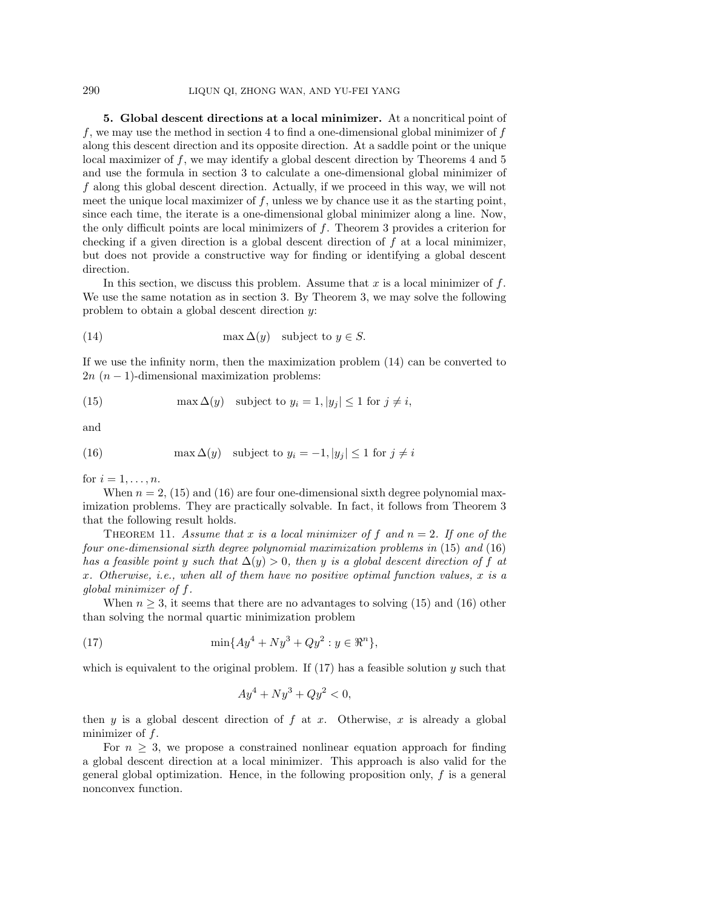## 290 LIQUN QI, ZHONG WAN, AND YU-FEI YANG

**5. Global descent directions at a local minimizer.** At a noncritical point of f, we may use the method in section 4 to find a one-dimensional global minimizer of  $f$ along this descent direction and its opposite direction. At a saddle point or the unique local maximizer of  $f$ , we may identify a global descent direction by Theorems  $4$  and  $5$ and use the formula in section 3 to calculate a one-dimensional global minimizer of f along this global descent direction. Actually, if we proceed in this way, we will not meet the unique local maximizer of  $f$ , unless we by chance use it as the starting point, since each time, the iterate is a one-dimensional global minimizer along a line. Now, the only difficult points are local minimizers of  $f$ . Theorem 3 provides a criterion for checking if a given direction is a global descent direction of  $f$  at a local minimizer, but does not provide a constructive way for finding or identifying a global descent direction.

In this section, we discuss this problem. Assume that x is a local minimizer of  $f$ . We use the same notation as in section 3. By Theorem 3, we may solve the following problem to obtain a global descent direction y:

(14) 
$$
\max \Delta(y) \quad \text{subject to } y \in S.
$$

If we use the infinity norm, then the maximization problem (14) can be converted to  $2n(n-1)$ -dimensional maximization problems:

(15) 
$$
\max \Delta(y) \quad \text{subject to } y_i = 1, |y_j| \le 1 \text{ for } j \ne i,
$$

and

(16) 
$$
\max \Delta(y) \quad \text{subject to } y_i = -1, |y_j| \le 1 \text{ for } j \ne i
$$

for  $i = 1, \ldots, n$ .

When  $n = 2$ , (15) and (16) are four one-dimensional sixth degree polynomial maximization problems. They are practically solvable. In fact, it follows from Theorem 3 that the following result holds.

THEOREM 11. Assume that x is a local minimizer of f and  $n = 2$ . If one of the four one-dimensional sixth degree polynomial maximization problems in (15) and (16) has a feasible point y such that  $\Delta(y) > 0$ , then y is a global descent direction of f at x. Otherwise, i.e., when all of them have no positive optimal function values, x is a global minimizer of f.

When  $n \geq 3$ , it seems that there are no advantages to solving (15) and (16) other than solving the normal quartic minimization problem

(17) 
$$
\min\{Ay^4 + Ny^3 + Qy^2 : y \in \Re^n\},\
$$

which is equivalent to the original problem. If  $(17)$  has a feasible solution y such that

$$
Ay^4 + Ny^3 + Qy^2 < 0,
$$

then y is a global descent direction of  $f$  at  $x$ . Otherwise,  $x$  is already a global minimizer of f.

For  $n \geq 3$ , we propose a constrained nonlinear equation approach for finding a global descent direction at a local minimizer. This approach is also valid for the general global optimization. Hence, in the following proposition only,  $f$  is a general nonconvex function.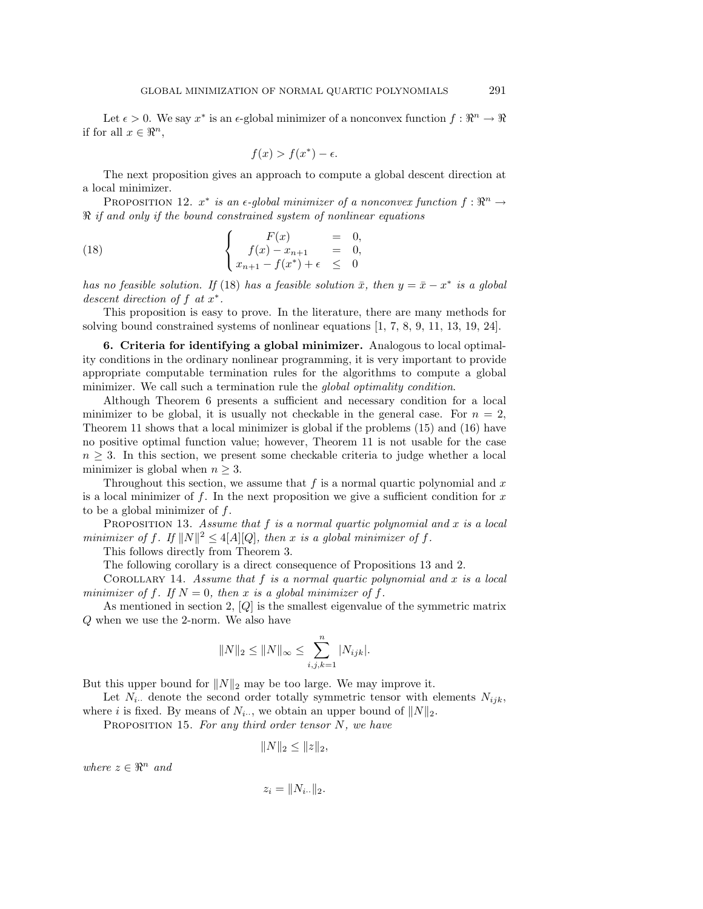Let  $\epsilon > 0$ . We say  $x^*$  is an  $\epsilon$ -global minimizer of a nonconvex function  $f: \mathbb{R}^n \to \mathbb{R}$ if for all  $x \in \mathbb{R}^n$ ,

$$
f(x) > f(x^*) - \epsilon.
$$

The next proposition gives an approach to compute a global descent direction at a local minimizer.

PROPOSITION 12.  $x^*$  is an  $\epsilon$ -global minimizer of a nonconvex function  $f: \mathbb{R}^n \to$  $\Re$  if and only if the bound constrained system of nonlinear equations

(18) 
$$
\begin{cases}\nF(x) &= 0, \\
f(x) - x_{n+1} &= 0, \\
x_{n+1} - f(x^*) + \epsilon &\leq 0\n\end{cases}
$$

has no feasible solution. If (18) has a feasible solution  $\bar{x}$ , then  $y = \bar{x} - x^*$  is a global descent direction of f at  $x^*$ .

This proposition is easy to prove. In the literature, there are many methods for solving bound constrained systems of nonlinear equations [1, 7, 8, 9, 11, 13, 19, 24].

**6. Criteria for identifying a global minimizer.** Analogous to local optimality conditions in the ordinary nonlinear programming, it is very important to provide appropriate computable termination rules for the algorithms to compute a global minimizer. We call such a termination rule the *global optimality condition*.

Although Theorem 6 presents a sufficient and necessary condition for a local minimizer to be global, it is usually not checkable in the general case. For  $n = 2$ , Theorem 11 shows that a local minimizer is global if the problems (15) and (16) have no positive optimal function value; however, Theorem 11 is not usable for the case  $n \geq 3$ . In this section, we present some checkable criteria to judge whether a local minimizer is global when  $n \geq 3$ .

Throughout this section, we assume that  $f$  is a normal quartic polynomial and  $x$ is a local minimizer of f. In the next proposition we give a sufficient condition for  $x$ to be a global minimizer of  $f$ .

PROPOSITION 13. Assume that  $f$  is a normal quartic polynomial and  $x$  is a local minimizer of f. If  $||N||^2 \leq 4|A||Q|$ , then x is a global minimizer of f.

This follows directly from Theorem 3.

The following corollary is a direct consequence of Propositions 13 and 2.

COROLLARY 14. Assume that  $f$  is a normal quartic polynomial and  $x$  is a local minimizer of f. If  $N = 0$ , then x is a global minimizer of f.

As mentioned in section 2,  $[Q]$  is the smallest eigenvalue of the symmetric matrix Q when we use the 2-norm. We also have

$$
||N||_2 \le ||N||_{\infty} \le \sum_{i,j,k=1}^n |N_{ijk}|.
$$

But this upper bound for  $||N||_2$  may be too large. We may improve it.

Let  $N_i$  denote the second order totally symmetric tensor with elements  $N_{ijk}$ , where i is fixed. By means of  $N_{i\cdot\cdot}$ , we obtain an upper bound of  $||N||_2$ .

PROPOSITION 15. For any third order tensor  $N$ , we have

$$
||N||_2 \leq ||z||_2,
$$

where  $z \in \mathbb{R}^n$  and

$$
z_i = \|N_{i\cdot\cdot}\|_2
$$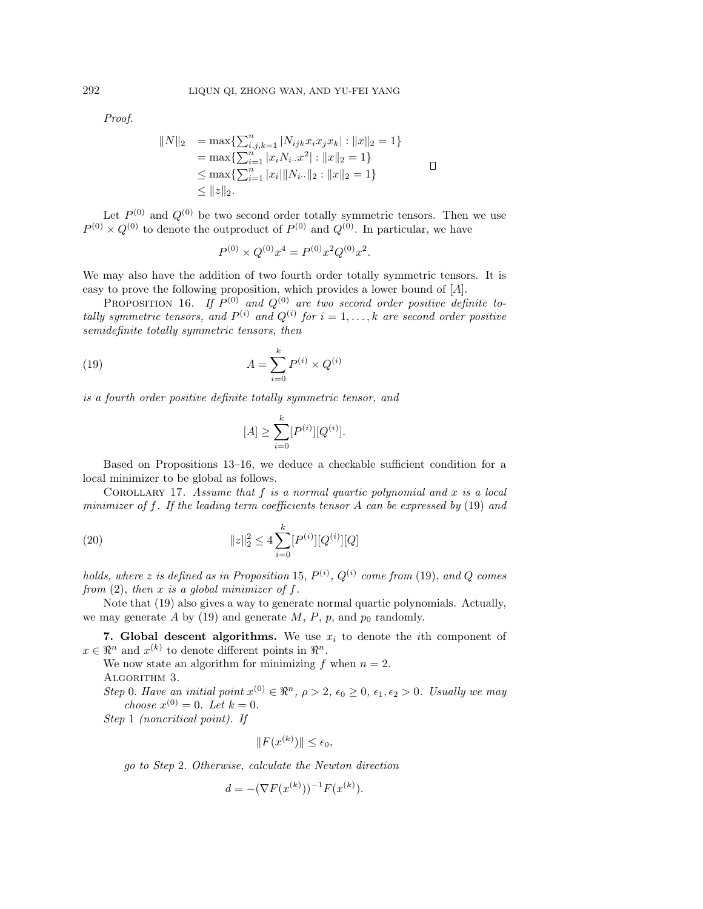Proof.

$$
||N||_2 = \max\{\sum_{i,j,k=1}^n |N_{ijk}x_ix_jx_k| : ||x||_2 = 1\}
$$
  
=  $\max\{\sum_{i=1}^n |x_iN_i.x^2| : ||x||_2 = 1\}$   
 $\le \max\{\sum_{i=1}^n |x_i| ||N_i.||_2 : ||x||_2 = 1\}$ 

Let  $P^{(0)}$  and  $Q^{(0)}$  be two second order totally symmetric tensors. Then we use  $P^{(0)} \times Q^{(0)}$  to denote the outproduct of  $P^{(0)}$  and  $Q^{(0)}$ . In particular, we have

$$
P^{(0)} \times Q^{(0)} x^4 = P^{(0)} x^2 Q^{(0)} x^2.
$$

We may also have the addition of two fourth order totally symmetric tensors. It is easy to prove the following proposition, which provides a lower bound of [A].

PROPOSITION 16. If  $P^{(0)}$  and  $Q^{(0)}$  are two second order positive definite totally symmetric tensors, and  $P^{(i)}$  and  $Q^{(i)}$  for  $i = 1, \ldots, k$  are second order positive semidefinite totally symmetric tensors, then

(19) 
$$
A = \sum_{i=0}^{k} P^{(i)} \times Q^{(i)}
$$

is a fourth order positive definite totally symmetric tensor, and

$$
[A] \ge \sum_{i=0}^{k} [P^{(i)}][Q^{(i)}].
$$

Based on Propositions 13–16, we deduce a checkable sufficient condition for a local minimizer to be global as follows.

COROLLARY 17. Assume that  $f$  is a normal quartic polynomial and  $x$  is a local minimizer of f. If the leading term coefficients tensor A can be expressed by  $(19)$  and

(20) 
$$
||z||_2^2 \le 4 \sum_{i=0}^k [P^{(i)}][Q^{(i)}][Q]
$$

holds, where z is defined as in Proposition 15,  $P^{(i)}$ ,  $Q^{(i)}$  come from (19), and Q comes from  $(2)$ , then x is a global minimizer of f.

Note that (19) also gives a way to generate normal quartic polynomials. Actually, we may generate A by (19) and generate M, P, p, and  $p_0$  randomly.

**7. Global descent algorithms.** We use  $x_i$  to denote the *i*th component of  $x \in \mathbb{R}^n$  and  $x^{(k)}$  to denote different points in  $\mathbb{R}^n$ .

We now state an algorithm for minimizing f when  $n = 2$ . ALGORITHM 3.

Step 0. Have an initial point  $x^{(0)} \in \mathbb{R}^n$ ,  $\rho > 2$ ,  $\epsilon_0 \ge 0$ ,  $\epsilon_1, \epsilon_2 > 0$ . Usually we may choose  $x^{(0)} = 0$ . Let  $k = 0$ .

Step 1 (noncritical point). If

$$
||F(x^{(k)})|| \leq \epsilon_0,
$$

go to Step 2. Otherwise, calculate the Newton direction

$$
d = -(\nabla F(x^{(k)}))^{-1} F(x^{(k)}).
$$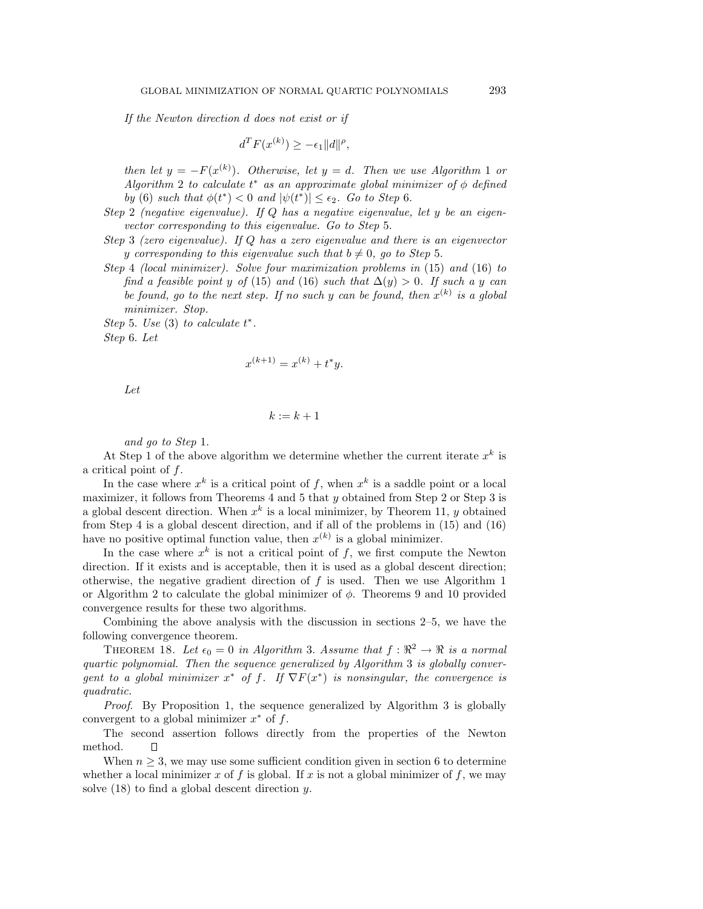If the Newton direction d does not exist or if

$$
d^T F(x^{(k)}) \ge -\epsilon_1 \|d\|^{\rho},
$$

then let  $y = -F(x^{(k)})$ . Otherwise, let  $y = d$ . Then we use Algorithm 1 or Algorithm 2 to calculate  $t^*$  as an approximate global minimizer of  $\phi$  defined by (6) such that  $\phi(t^*) < 0$  and  $|\psi(t^*)| \leq \epsilon_2$ . Go to Step 6.

Step 2 (negative eigenvalue). If Q has a negative eigenvalue, let y be an eigenvector corresponding to this eigenvalue. Go to Step 5.

Step 3 (zero eigenvalue). If Q has a zero eigenvalue and there is an eigenvector y corresponding to this eigenvalue such that  $b \neq 0$ , go to Step 5.

Step 4 (local minimizer). Solve four maximization problems in (15) and (16) to find a feasible point y of (15) and (16) such that  $\Delta(y) > 0$ . If such a y can be found, go to the next step. If no such y can be found, then  $x^{(k)}$  is a global minimizer. Stop.

Step 5. Use  $(3)$  to calculate  $t^*$ . Step 6. Let

$$
x^{(k+1)} = x^{(k)} + t^*y.
$$

Let

$$
k:=k+1
$$

and go to Step 1.

At Step 1 of the above algorithm we determine whether the current iterate  $x^k$  is a critical point of f.

In the case where  $x^k$  is a critical point of f, when  $x^k$  is a saddle point or a local maximizer, it follows from Theorems 4 and 5 that y obtained from Step 2 or Step 3 is a global descent direction. When  $x^k$  is a local minimizer, by Theorem 11, y obtained from Step 4 is a global descent direction, and if all of the problems in (15) and (16) have no positive optimal function value, then  $x^{(k)}$  is a global minimizer.

In the case where  $x^k$  is not a critical point of f, we first compute the Newton direction. If it exists and is acceptable, then it is used as a global descent direction; otherwise, the negative gradient direction of  $f$  is used. Then we use Algorithm 1 or Algorithm 2 to calculate the global minimizer of  $\phi$ . Theorems 9 and 10 provided convergence results for these two algorithms.

Combining the above analysis with the discussion in sections 2–5, we have the following convergence theorem.

THEOREM 18. Let  $\epsilon_0 = 0$  in Algorithm 3. Assume that  $f : \mathbb{R}^2 \to \mathbb{R}$  is a normal quartic polynomial. Then the sequence generalized by Algorithm 3 is globally convergent to a global minimizer  $x^*$  of f. If  $\nabla F(x^*)$  is nonsingular, the convergence is quadratic.

Proof. By Proposition 1, the sequence generalized by Algorithm 3 is globally convergent to a global minimizer  $x^*$  of  $f$ .

The second assertion follows directly from the properties of the Newton method.  $\Box$ 

When  $n \geq 3$ , we may use some sufficient condition given in section 6 to determine whether a local minimizer x of f is global. If x is not a global minimizer of f, we may solve  $(18)$  to find a global descent direction y.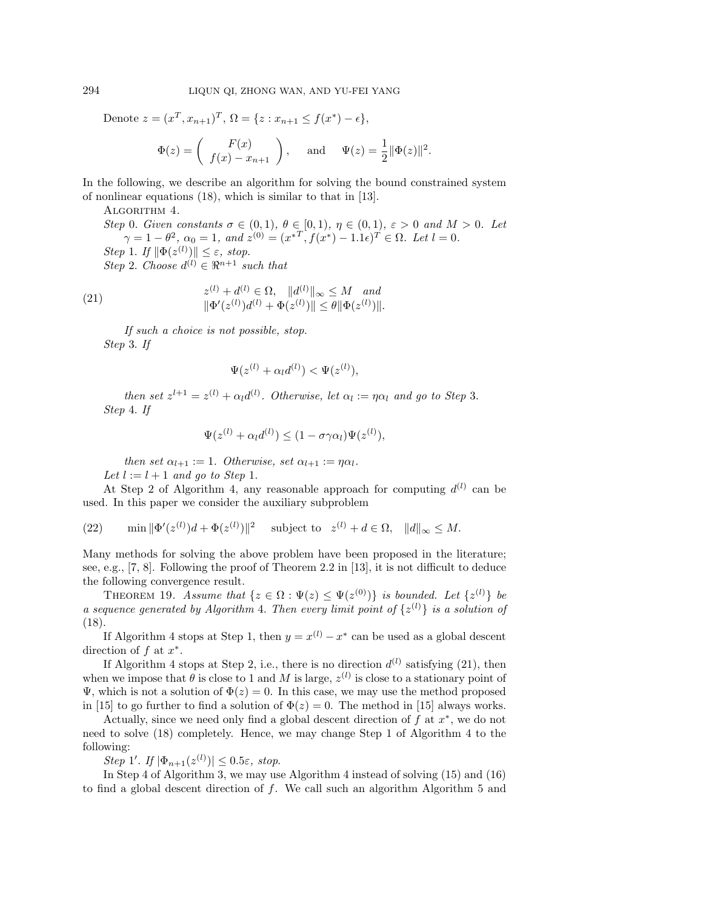Denote  $z = (x^T, x_{n+1})^T$ ,  $\Omega = \{z : x_{n+1} \le f(x^*) - \epsilon\},\$ 

$$
\Phi(z) = \begin{pmatrix} F(x) \\ f(x) - x_{n+1} \end{pmatrix}
$$
, and  $\Psi(z) = \frac{1}{2} ||\Phi(z)||^2$ .

In the following, we describe an algorithm for solving the bound constrained system of nonlinear equations (18), which is similar to that in [13].

ALGORITHM 4.

Step 0. Given constants  $\sigma \in (0,1)$ ,  $\theta \in [0,1)$ ,  $\eta \in (0,1)$ ,  $\varepsilon > 0$  and  $M > 0$ . Let  $\gamma = 1 - \theta^2$ ,  $\alpha_0 = 1$ , and  $z^{(0)} = (x^{*T}, f(x^*) - 1.1\epsilon)^T \in \Omega$ . Let  $l = 0$ . Step 1. If  $\|\Phi(z^{(l)})\| \leq \varepsilon$ , stop. Step 2. Choose  $d^{(l)} \in \mathbb{R}^{n+1}$  such that

(21) 
$$
z^{(l)} + d^{(l)} \in \Omega, \quad ||d^{(l)}||_{\infty} \le M \quad and ||\Phi'(z^{(l)})d^{(l)} + \Phi(z^{(l)})|| \le \theta ||\Phi(z^{(l)})||.
$$

If such a choice is not possible, stop. Step 3. If

$$
\Psi(z^{(l)} + \alpha_l d^{(l)}) < \Psi(z^{(l)}),
$$

then set  $z^{l+1} = z^{(l)} + \alpha_l d^{(l)}$ . Otherwise, let  $\alpha_l := \eta \alpha_l$  and go to Step 3. Step 4. If

$$
\Psi(z^{(l)} + \alpha_l d^{(l)}) \le (1 - \sigma \gamma \alpha_l) \Psi(z^{(l)}),
$$

then set  $\alpha_{l+1} := 1$ . Otherwise, set  $\alpha_{l+1} := \eta \alpha_l$ .

Let  $l := l + 1$  and go to Step 1.

At Step 2 of Algorithm 4, any reasonable approach for computing  $d^{(l)}$  can be used. In this paper we consider the auxiliary subproblem

(22)  $\min \|\Phi'(z^{(l)})d + \Phi(z^{(l)})\|^2$  subject to  $z^{(l)} + d \in \Omega$ ,  $\|d\|_{\infty} \le M$ .

Many methods for solving the above problem have been proposed in the literature; see, e.g., [7, 8]. Following the proof of Theorem 2.2 in [13], it is not difficult to deduce the following convergence result.

THEOREM 19. Assume that  $\{z \in \Omega : \Psi(z) \leq \Psi(z^{(0)})\}$  is bounded. Let  $\{z^{(l)}\}$  be a sequence generated by Algorithm 4. Then every limit point of  $\{z^{(l)}\}$  is a solution of (18).

If Algorithm 4 stops at Step 1, then  $y = x^{(l)} - x^*$  can be used as a global descent direction of  $f$  at  $x^*$ .

If Algorithm 4 stops at Step 2, i.e., there is no direction  $d^{(l)}$  satisfying (21), then when we impose that  $\theta$  is close to 1 and M is large,  $z^{(l)}$  is close to a stationary point of  $\Psi$ , which is not a solution of  $\Phi(z) = 0$ . In this case, we may use the method proposed in [15] to go further to find a solution of  $\Phi(z) = 0$ . The method in [15] always works.

Actually, since we need only find a global descent direction of  $f$  at  $x^*$ , we do not need to solve (18) completely. Hence, we may change Step 1 of Algorithm 4 to the following:

Step 1'. If  $|\Phi_{n+1}(z^{(l)})| \leq 0.5\varepsilon$ , stop.

In Step 4 of Algorithm 3, we may use Algorithm 4 instead of solving (15) and (16) to find a global descent direction of  $f$ . We call such an algorithm Algorithm 5 and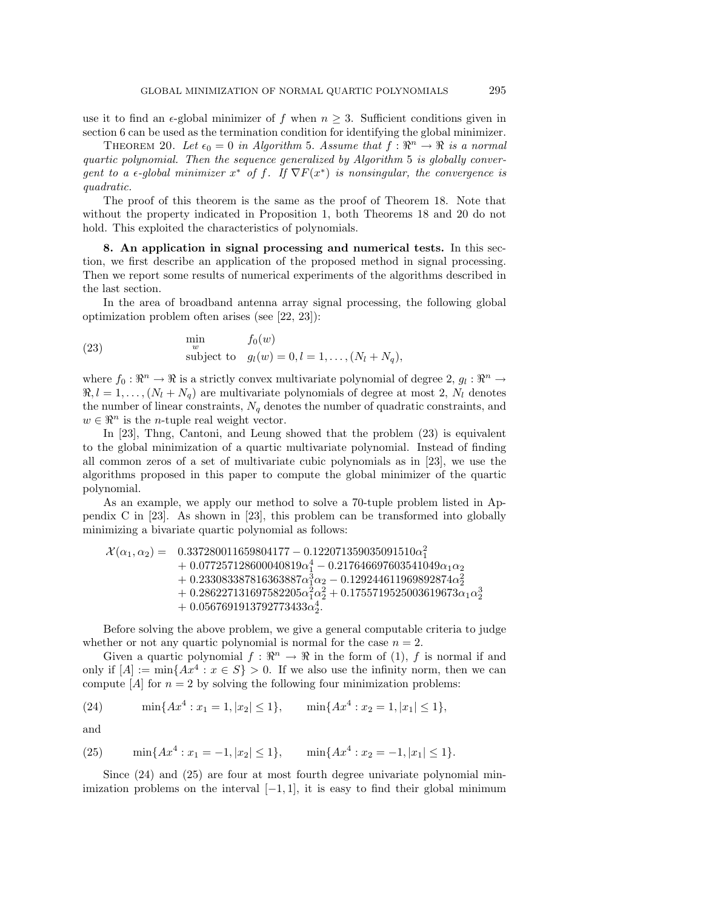use it to find an  $\epsilon$ -global minimizer of f when  $n \geq 3$ . Sufficient conditions given in section 6 can be used as the termination condition for identifying the global minimizer.

THEOREM 20. Let  $\epsilon_0 = 0$  in Algorithm 5. Assume that  $f : \mathbb{R}^n \to \mathbb{R}$  is a normal quartic polynomial. Then the sequence generalized by Algorithm 5 is globally convergent to a  $\epsilon$ -global minimizer  $x^*$  of f. If  $\nabla F(x^*)$  is nonsingular, the convergence is quadratic.

The proof of this theorem is the same as the proof of Theorem 18. Note that without the property indicated in Proposition 1, both Theorems 18 and 20 do not hold. This exploited the characteristics of polynomials.

**8. An application in signal processing and numerical tests.** In this section, we first describe an application of the proposed method in signal processing. Then we report some results of numerical experiments of the algorithms described in the last section.

In the area of broadband antenna array signal processing, the following global optimization problem often arises (see [22, 23]):

(23) 
$$
\begin{array}{ll}\n\text{min} & f_0(w) \\
\text{subject to} & g_l(w) = 0, l = 1, \dots, (N_l + N_q),\n\end{array}
$$

where  $f_0 : \mathbb{R}^n \to \mathbb{R}$  is a strictly convex multivariate polynomial of degree 2,  $g_l : \mathbb{R}^n \to$  $\Re, l = 1, \ldots, (N_l + N_q)$  are multivariate polynomials of degree at most 2,  $N_l$  denotes the number of linear constraints,  $N_q$  denotes the number of quadratic constraints, and  $w \in \mathbb{R}^n$  is the *n*-tuple real weight vector.

In [23], Thng, Cantoni, and Leung showed that the problem (23) is equivalent to the global minimization of a quartic multivariate polynomial. Instead of finding all common zeros of a set of multivariate cubic polynomials as in [23], we use the algorithms proposed in this paper to compute the global minimizer of the quartic polynomial.

As an example, we apply our method to solve a 70-tuple problem listed in Appendix C in [23]. As shown in [23], this problem can be transformed into globally minimizing a bivariate quartic polynomial as follows:

$$
\begin{array}{ll} \mathcal{X}(\alpha_1,\alpha_2)=&0.337280011659804177-0.122071359035091510\alpha_1^2\\&+0.077257128600040819\alpha_1^4-0.217646697603541049\alpha_1\alpha_2\\&+0.233083387816363887\alpha_1^3\alpha_2-0.129244611969892874\alpha_2^2\\&+0.286227131697582205\alpha_1^2\alpha_2^2+0.1755719525003619673\alpha_1\alpha_2^3\\&+0.0567691913792773433\alpha_2^4.\end{array}
$$

Before solving the above problem, we give a general computable criteria to judge whether or not any quartic polynomial is normal for the case  $n = 2$ .

Given a quartic polynomial  $f : \mathbb{R}^n \to \mathbb{R}$  in the form of (1), f is normal if and only if  $[A] := \min\{Ax^4 : x \in S\} > 0$ . If we also use the infinity norm, then we can compute  $[A]$  for  $n = 2$  by solving the following four minimization problems:

(24) 
$$
\min\{Ax^4 : x_1 = 1, |x_2| \le 1\}, \qquad \min\{Ax^4 : x_2 = 1, |x_1| \le 1\},\
$$

and

(25) 
$$
\min\{Ax^4 : x_1 = -1, |x_2| \le 1\}, \min\{Ax^4 : x_2 = -1, |x_1| \le 1\}.
$$

Since (24) and (25) are four at most fourth degree univariate polynomial minimization problems on the interval  $[-1, 1]$ , it is easy to find their global minimum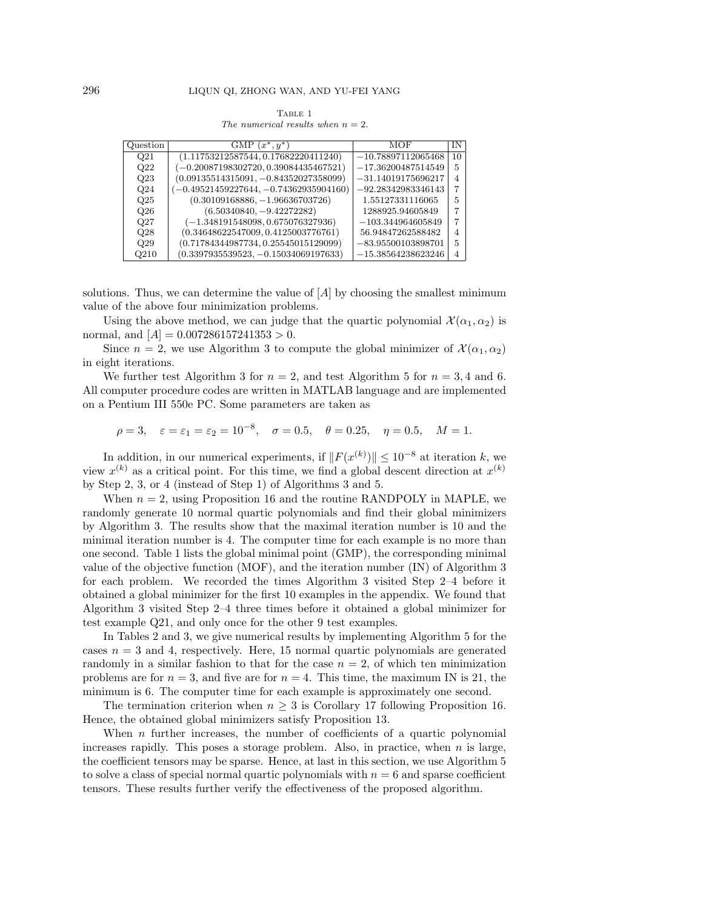| TABLE 1 |                                      |  |  |  |  |
|---------|--------------------------------------|--|--|--|--|
|         | The numerical results when $n = 2$ . |  |  |  |  |

| Question         | GMP $(x^*, y^*)$                         | MOF                  | ΙN             |
|------------------|------------------------------------------|----------------------|----------------|
| Q <sub>21</sub>  | (1.11753212587544, 0.17682220411240)     | $-10.78897112065468$ | 10             |
| Q22              | $(-0.20087198302720, 0.39084435467521)$  | $-17.36200487514549$ | 5              |
| Q23              | $(0.09135514315091, -0.84352027358099)$  | $-31.14019175696217$ | 4              |
| Q24              | $(-0.49521459227644, -0.74362935904160)$ | $-92.28342983346143$ | 7              |
| Q25              | $(0.30109168886, -1.96636703726)$        | 1.55127331116065     | 5              |
| Q26              | $(6.50340840, -9.42272282)$              | 1288925.94605849     |                |
| Q27              | $(-1.348191548098, 0.675076327936)$      | $-103.344964605849$  | 7              |
| Q28              | (0.34648622547009, 0.4125003776761)      | 56.94847262588482    | $\overline{4}$ |
| Q29              | (0.71784344987734, 0.25545015129099)     | $-83.95500103898701$ | 5              |
| Q <sub>210</sub> | $(0.3397935539523, -0.15034069197633)$   | $-15.38564238623246$ | 4              |

solutions. Thus, we can determine the value of  $[A]$  by choosing the smallest minimum value of the above four minimization problems.

Using the above method, we can judge that the quartic polynomial  $\mathcal{X}(\alpha_1, \alpha_2)$  is normal, and  $[A]=0.007286157241353 > 0$ .

Since  $n = 2$ , we use Algorithm 3 to compute the global minimizer of  $\mathcal{X}(\alpha_1, \alpha_2)$ in eight iterations.

We further test Algorithm 3 for  $n = 2$ , and test Algorithm 5 for  $n = 3, 4$  and 6. All computer procedure codes are written in MATLAB language and are implemented on a Pentium III 550e PC. Some parameters are taken as

$$
\rho = 3
$$
,  $\varepsilon = \varepsilon_1 = \varepsilon_2 = 10^{-8}$ ,  $\sigma = 0.5$ ,  $\theta = 0.25$ ,  $\eta = 0.5$ ,  $M = 1$ .

In addition, in our numerical experiments, if  $||F(x^{(k)})|| \leq 10^{-8}$  at iteration k, we view  $x^{(k)}$  as a critical point. For this time, we find a global descent direction at  $x^{(k)}$ by Step 2, 3, or 4 (instead of Step 1) of Algorithms 3 and 5.

When  $n = 2$ , using Proposition 16 and the routine RANDPOLY in MAPLE, we randomly generate 10 normal quartic polynomials and find their global minimizers by Algorithm 3. The results show that the maximal iteration number is 10 and the minimal iteration number is 4. The computer time for each example is no more than one second. Table 1 lists the global minimal point (GMP), the corresponding minimal value of the objective function (MOF), and the iteration number (IN) of Algorithm 3 for each problem. We recorded the times Algorithm 3 visited Step 2–4 before it obtained a global minimizer for the first 10 examples in the appendix. We found that Algorithm 3 visited Step 2–4 three times before it obtained a global minimizer for test example Q21, and only once for the other 9 test examples.

In Tables 2 and 3, we give numerical results by implementing Algorithm 5 for the cases  $n = 3$  and 4, respectively. Here, 15 normal quartic polynomials are generated randomly in a similar fashion to that for the case  $n = 2$ , of which ten minimization problems are for  $n = 3$ , and five are for  $n = 4$ . This time, the maximum IN is 21, the minimum is 6. The computer time for each example is approximately one second.

The termination criterion when  $n \geq 3$  is Corollary 17 following Proposition 16. Hence, the obtained global minimizers satisfy Proposition 13.

When  $n$  further increases, the number of coefficients of a quartic polynomial increases rapidly. This poses a storage problem. Also, in practice, when  $n$  is large, the coefficient tensors may be sparse. Hence, at last in this section, we use Algorithm 5 to solve a class of special normal quartic polynomials with  $n = 6$  and sparse coefficient tensors. These results further verify the effectiveness of the proposed algorithm.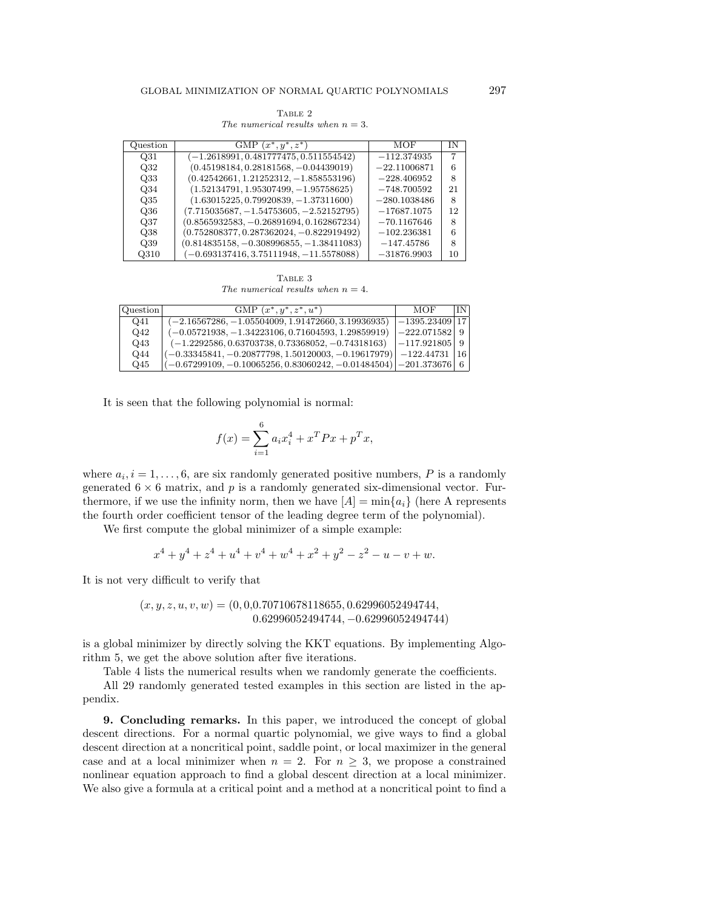| TABLE 2 |  |  |                                      |  |  |
|---------|--|--|--------------------------------------|--|--|
|         |  |  | The numerical results when $n = 3$ . |  |  |

| Question        | GMP $(x^*, y^*, z^*)$                      | MOF            | ΙN |
|-----------------|--------------------------------------------|----------------|----|
| Q31             | $(-1.2618991, 0.481777475, 0.511554542)$   | $-112.374935$  | 7  |
| Q <sub>32</sub> | $(0.45198184, 0.28181568, -0.04439019)$    | $-22.11006871$ | 6  |
| Q33             | $(0.42542661, 1.21252312, -1.858553196)$   | $-228.406952$  | 8  |
| Q34             | $(1.52134791, 1.95307499, -1.95758625)$    | $-748.700592$  | 21 |
| Q35             | $(1.63015225, 0.79920839, -1.37311600)$    | $-280.1038486$ | 8  |
| Q36             | $(7.715035687, -1.54753605, -2.52152795)$  | $-17687.1075$  | 12 |
| Q37             | $(0.8565932583, -0.26891694, 0.162867234)$ | $-70.1167646$  | 8  |
| Q38             | $(0.752808377, 0.287362024, -0.822919492)$ | $-102.236381$  | 6  |
| Q39             | $(0.814835158, -0.308996855, -1.38411083)$ | $-147.45786$   | 8  |
| Q310            | $(-0.693137416, 3.75111948, -11.5578088)$  | $-31876.9903$  | 10 |

TABLE 3 The numerical results when  $n = 4$ .

| Question | GMP $(x^*, y^*, z^*, u^*)$                                              | MOF               | IN. |
|----------|-------------------------------------------------------------------------|-------------------|-----|
| Q41      | $(-2.16567286, -1.05504009, 1.91472660, 3.19936935)$                    | –1395.23409   17  |     |
| $Q_{42}$ | $(-0.05721938, -1.34223106, 0.71604593, 1.29859919)$                    | $ -222.071582 $ 9 |     |
| Q43      | $(-1.2292586, 0.63703738, 0.73368052, -0.74318163)$                     | $ -117.921805 $ 9 |     |
| Q44      | $(-0.33345841, -0.20877798, 1.50120003, -0.19617979)$                   | $-122.44731$   16 |     |
| Q45      | $(-0.67299109, -0.10065256, 0.83060242, -0.01484504)$ $ -201.373676 $ 6 |                   |     |

It is seen that the following polynomial is normal:

$$
f(x) = \sum_{i=1}^{6} a_i x_i^4 + x^T P x + p^T x,
$$

where  $a_i$ ,  $i = 1, \ldots, 6$ , are six randomly generated positive numbers, P is a randomly generated  $6 \times 6$  matrix, and p is a randomly generated six-dimensional vector. Furthermore, if we use the infinity norm, then we have  $[A] = \min\{a_i\}$  (here A represents the fourth order coefficient tensor of the leading degree term of the polynomial).

We first compute the global minimizer of a simple example:

 $x^{4} + y^{4} + z^{4} + u^{4} + v^{4} + w^{4} + x^{2} + y^{2} - z^{2} - u - v + w.$ 

It is not very difficult to verify that

$$
(x, y, z, u, v, w) = (0, 0, 0.70710678118655, 0.62996052494744, 0.62996052494744, -0.62996052494744)
$$

is a global minimizer by directly solving the KKT equations. By implementing Algorithm 5, we get the above solution after five iterations.

Table 4 lists the numerical results when we randomly generate the coefficients.

All 29 randomly generated tested examples in this section are listed in the appendix.

**9. Concluding remarks.** In this paper, we introduced the concept of global descent directions. For a normal quartic polynomial, we give ways to find a global descent direction at a noncritical point, saddle point, or local maximizer in the general case and at a local minimizer when  $n = 2$ . For  $n \geq 3$ , we propose a constrained nonlinear equation approach to find a global descent direction at a local minimizer. We also give a formula at a critical point and a method at a noncritical point to find a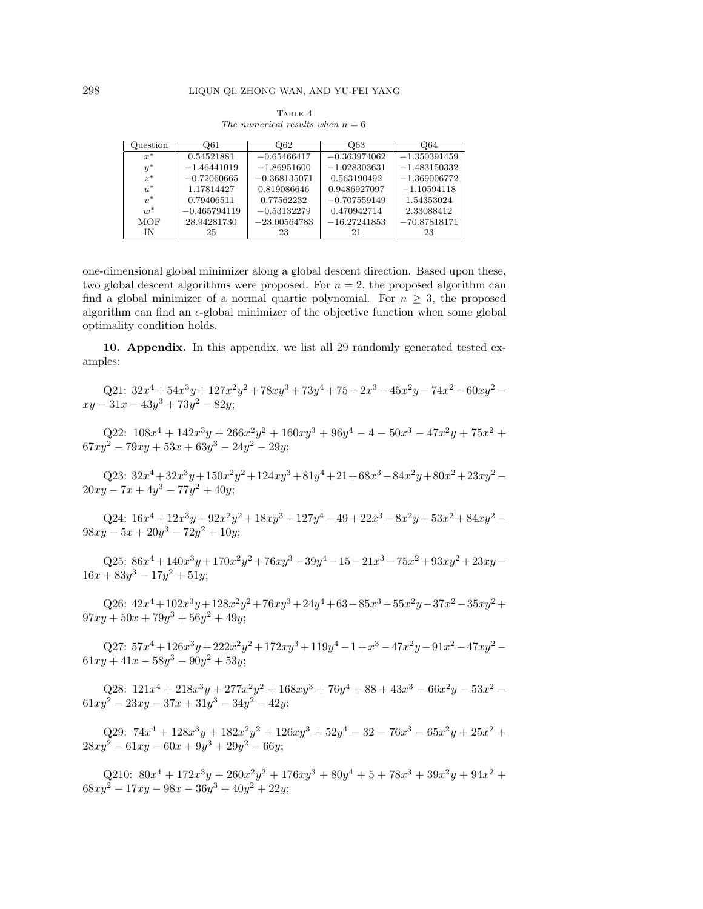| TABLE 4 |                                      |  |  |  |  |
|---------|--------------------------------------|--|--|--|--|
|         | The numerical results when $n = 6$ . |  |  |  |  |

| Question       | O61            | Q62            | Q63            | Q64            |
|----------------|----------------|----------------|----------------|----------------|
| $x^*$          | 0.54521881     | $-0.65466417$  | $-0.363974062$ | $-1.350391459$ |
| $y^*$          | $-1.46441019$  | $-1.86951600$  | $-1.028303631$ | $-1.483150332$ |
| $z^*$          | $-0.72060665$  | $-0.368135071$ | 0.563190492    | $-1.369006772$ |
| $u^*$          | 1.17814427     | 0.819086646    | 0.9486927097   | $-1.10594118$  |
| $v^*$          | 0.79406511     | 0.77562232     | $-0.707559149$ | 1.54353024     |
| $\overline{u}$ | $-0.465794119$ | $-0.53132279$  | 0.470942714    | 2.33088412     |
| <b>MOF</b>     | 28.94281730    | $-23.00564783$ | $-16.27241853$ | $-70.87818171$ |
| ΙN             | 25             | 23             | 21             | 23             |

one-dimensional global minimizer along a global descent direction. Based upon these, two global descent algorithms were proposed. For  $n = 2$ , the proposed algorithm can find a global minimizer of a normal quartic polynomial. For  $n \geq 3$ , the proposed algorithm can find an  $\epsilon$ -global minimizer of the objective function when some global optimality condition holds.

**10. Appendix.** In this appendix, we list all 29 randomly generated tested examples:

Q21:  $32x^4 + 54x^3y + 127x^2y^2 + 78xy^3 + 73y^4 + 75 - 2x^3 - 45x^2y - 74x^2 - 60xy^2$  $xu - 31x - 43y^3 + 73y^2 - 82y$ ;

Q22:  $108x^4 + 142x^3y + 266x^2y^2 + 160xy^3 + 96y^4 - 4 - 50x^3 - 47x^2y + 75x^2 +$  $67xy^{2} - 79xy + 53x + 63y^{3} - 24y^{2} - 29y$ ;

Q23:  $32x^4 + 32x^3y + 150x^2y^2 + 124xy^3 + 81y^4 + 21 + 68x^3 - 84x^2y + 80x^2 + 23xy^2 20xy - 7x + 4y^3 - 77y^2 + 40y$ ;

Q24:  $16x^4 + 12x^3y + 92x^2y^2 + 18xy^3 + 127y^4 - 49 + 22x^3 - 8x^2y + 53x^2 + 84xy^2$  $98xy - 5x + 20y^3 - 72y^2 + 10y$ ;

Q25:  $86x^4 + 140x^3y + 170x^2y^2 + 76xy^3 + 39y^4 - 15 - 21x^3 - 75x^2 + 93xy^2 + 23xy 16x + 83y^3 - 17y^2 + 51y$ ;

Q26:  $42x^4 + 102x^3y + 128x^2y^2 + 76xy^3 + 24y^4 + 63 - 85x^3 - 55x^2y - 37x^2 - 35xy^2 +$  $97xy + 50x + 79y^3 + 56y^2 + 49y$ ;

Q27:  $57x^4 + 126x^3y + 222x^2y^2 + 172xy^3 + 119y^4 - 1 + x^3 - 47x^2y - 91x^2 - 47xy^2$  $61xy + 41x - 58y^3 - 90y^2 + 53y$ ;

Q28:  $121x^4 + 218x^3y + 277x^2y^2 + 168xy^3 + 76y^4 + 88 + 43x^3 - 66x^2y - 53x^2$  $61xy^{2} - 23xy - 37x + 31y^{3} - 34y^{2} - 42y;$ 

Q29:  $74x^4 + 128x^3y + 182x^2y^2 + 126xy^3 + 52y^4 - 32 - 76x^3 - 65x^2y + 25x^2 +$  $28xy^{2} - 61xy - 60x + 9y^{3} + 29y^{2} - 66y;$ 

Q210:  $80x^4 + 172x^3y + 260x^2y^2 + 176xy^3 + 80y^4 + 5 + 78x^3 + 39x^2y + 94x^2 +$  $68xy^{2} - 17xy - 98x - 36y^{3} + 40y^{2} + 22y$ ;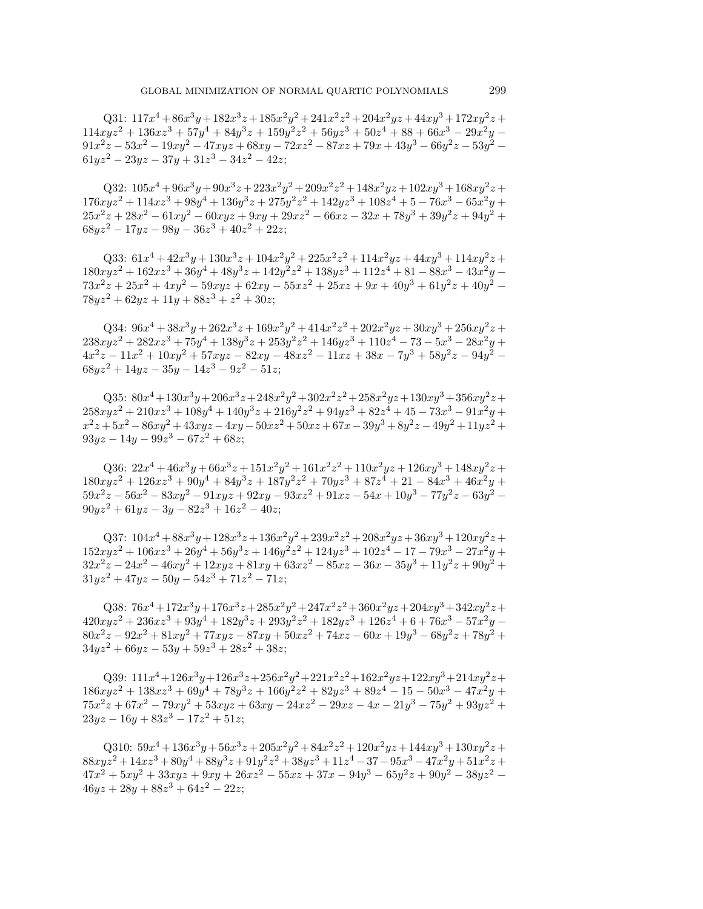Q31:  $117x^4 + 86x^3y + 182x^3z + 185x^2y^2 + 241x^2z^2 + 204x^2yz + 44xy^3 + 172xy^2z +$  $114xyz^2 + 136xz^3 + 57y^4 + 84y^3z + 159y^2z^2 + 56yz^3 + 50z^4 + 88 + 66x^3 - 29x^2y 91x^2z - 53x^2 - 19xy^2 - 47xyz + 68xy - 72xz^2 - 87xz + 79x + 43y^3 - 66y^2z - 53y^2$  $61yz^2 - 23yz - 37y + 31z^3 - 34z^2 - 42z$ ;

Q32:  $105x^4 + 96x^3y + 90x^3z + 223x^2y^2 + 209x^2z^2 + 148x^2yz + 102xy^3 + 168xy^2z +$  $176xyz^2 + 114xz^3 + 98y^4 + 136y^3z + 275y^2z^2 + 142yz^3 + 108z^4 + 5 - 76x^3 - 65x^2y +$  $25x^2z + 28x^2 - 61xy^2 - 60xyz + 9xy + 29xz^2 - 66xz - 32x + 78y^3 + 39y^2z + 94y^2 +$  $68yz^{2} - 17yz - 98y - 36z^{3} + 40z^{2} + 22z$ ;

Q33:  $61x^4 + 42x^3y + 130x^3z + 104x^2y^2 + 225x^2z^2 + 114x^2yz + 44xy^3 + 114xy^2z +$  $180xyz^2 + 162xz^3 + 36y^4 + 48y^3z + 142y^2z^2 + 138yz^3 + 112z^4 + 81 - 88x^3 - 43x^2y 73x^2z + 25x^2 + 4xy^2 - 59xyz + 62xy - 55xz^2 + 25xz + 9x + 40y^3 + 61y^2z + 40y^2$  $78yz^{2} + 62yz + 11y + 88z^{3} + z^{2} + 30z$ ;

Q34:  $96x^4 + 38x^3y + 262x^3z + 169x^2y^2 + 414x^2z^2 + 202x^2yz + 30xy^3 + 256xy^2z +$  $238xyz^2 + 282xz^3 + 75y^4 + 138y^3z + 253y^2z^2 + 146yz^3 + 110z^4 - 73 - 5x^3 - 28x^2y +$  $4x^2z - 11x^2 + 10xy^2 + 57xyz - 82xy - 48xz^2 - 11xz + 38x - 7y^3 + 58y^2z - 94y^2$  $68yz^2 + 14yz - 35y - 14z^3 - 9z^2 - 51z$ ;

Q35:  $80x^4 + 130x^3y + 206x^3z + 248x^2y^2 + 302x^2z^2 + 258x^2yz + 130xy^3 + 356xy^2z +$  $258xyz^2 + 210xz^3 + 108y^4 + 140y^3z + 216y^2z^2 + 94yz^3 + 82z^4 + 45 - 73x^3 - 91x^2y +$  $x^2z + 5x^2 - 86xy^2 + 43xyz - 4xy - 50xz^2 + 50xz + 67x - 39y^3 + 8y^2z - 49y^2 + 11yz^2 +$  $93yz - 14y - 99z^3 - 67z^2 + 68z$ ;

Q36:  $22x^4 + 46x^3y + 66x^3z + 151x^2y^2 + 161x^2z^2 + 110x^2yz + 126xy^3 + 148xy^2z +$  $180xyz^2 + 126xz^3 + 90y^4 + 84y^3z + 187y^2z^2 + 70yz^3 + 87z^4 + 21 - 84x^3 + 46x^2y +$  $59x^2z - 56x^2 - 83xy^2 - 91xyz + 92xy - 93xz^2 + 91xz - 54x + 10y^3 - 77y^2z - 63y^2$  $90yz^{2} + 61yz - 3y - 82z^{3} + 16z^{2} - 40z;$ 

Q37:  $104x^4 + 88x^3y + 128x^3z + 136x^2y^2 + 239x^2z^2 + 208x^2yz + 36xy^3 + 120xy^2z +$  $152xyz^2 + 106xz^3 + 26y^4 + 56y^3z + 146y^2z^2 + 124yz^3 + 102z^4 - 17 - 79x^3 - 27x^2y +$  $32x^2z - 24x^2 - 46xy^2 + 12xyz + 81xy + 63xz^2 - 85xz - 36x - 35y^3 + 11y^2z + 90y^2 +$  $31yz^{2} + 47yz - 50y - 54z^{3} + 71z^{2} - 71z$ ;

Q38:  $76x^4 + 172x^3y + 176x^3z + 285x^2y^2 + 247x^2z^2 + 360x^2yz + 204xy^3 + 342xy^2z +$  $420xyz^2 + 236xz^3 + 93y^4 + 182y^3z + 293y^2z^2 + 182yz^3 + 126z^4 + 6 + 76x^3 - 57x^2y$  $80x^2z - 92x^2 + 81xy^2 + 77xyz - 87xy + 50xz^2 + 74xz - 60x + 19y^3 - 68y^2z + 78y^2 +$  $34yz^{2} + 66yz - 53y + 59z^{3} + 28z^{2} + 38z;$ 

Q39:  $111x^4+126x^3y+126x^3z+256x^2y^2+221x^2z^2+162x^2yz+122xy^3+214xy^2z+$  $186xyz^2 + 138xz^3 + 69y^4 + 78y^3z + 166y^2z^2 + 82yz^3 + 89z^4 - 15 - 50x^3 - 47x^2y +$  $75x^2z + 67x^2 - 79xy^2 + 53xyz + 63xy - 24xz^2 - 29xz - 4x - 21y^3 - 75y^2 + 93yz^2 +$  $23yz - 16y + 83z^3 - 17z^2 + 51z$ ;

Q310:  $59x^4 + 136x^3y + 56x^3z + 205x^2y^2 + 84x^2z^2 + 120x^2yz + 144xy^3 + 130xy^2z +$  $88xyz^2 + 14xz^3 + 80y^4 + 88y^3z + 91y^2z^2 + 38yz^3 + 11z^4 - 37 - 95x^3 - 47x^2y + 51x^2z +$  $47x^2 + 5xy^2 + 33xyz + 9xy + 26xz^2 - 55xz + 37x - 94y^3 - 65y^2z + 90y^2 - 38yz^2$  $46yz + 28y + 88z^3 + 64z^2 - 22z$ ;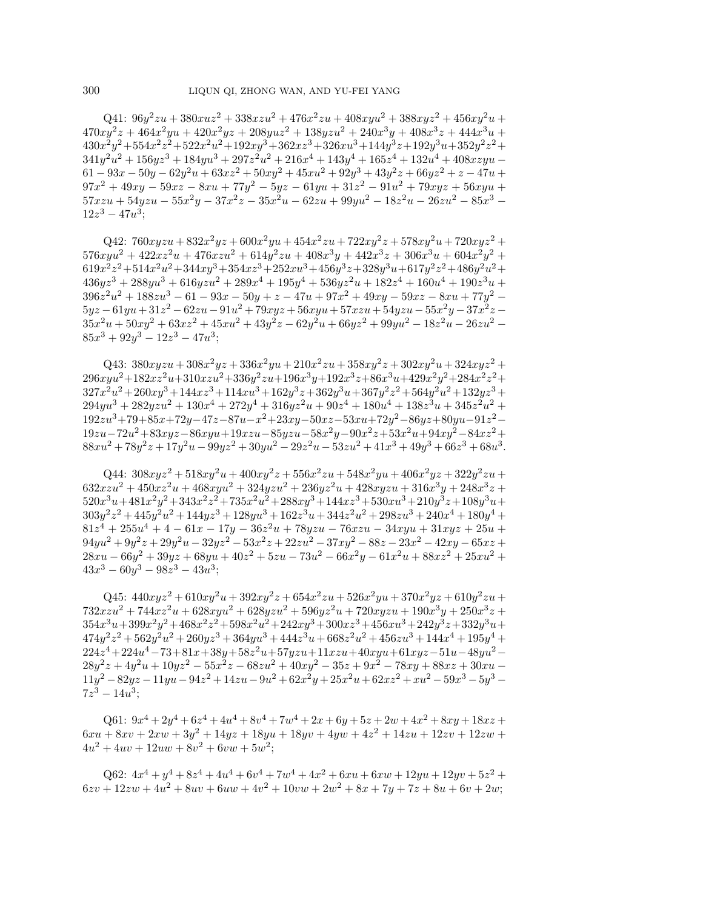$Q41: 96y^2zu + 380xuz^2 + 338xzu^2 + 476x^2zu + 408xyu^2 + 388xyz^2 + 456xy^2u +$  $470xy^2z + 464x^2yu + 420x^2yz + 208yuz^2 + 138yzu^2 + 240x^3y + 408x^3z + 444x^3u +$  $430x^2y^2+554x^2z^2+522x^2u^2+192xy^3+362xz^3+326xu^3+144y^3z+192y^3u+352y^2z^2+$  $341y^2u^2 + 156yz^3 + 184yu^3 + 297z^2u^2 + 216x^4 + 143y^4 + 165z^4 + 132u^4 + 408xzyu 61 - 93x - 50y - 62y^2u + 63xz^2 + 50xy^2 + 45xu^2 + 92y^3 + 43y^2z + 66yz^2 + z - 47u$  $97x^2 + 49xy - 59xz - 8xu + 77y^2 - 5yz - 61yu + 31z^2 - 91u^2 + 79xyz + 56xyu +$  $57xzu + 54yzu - 55x^2y - 37x^2z - 35x^2u - 62zu + 99yu^2 - 18z^2u - 26zu^2 - 85x^3 12z^3 - 47u^3$ ;

Q42:  $760xyzu + 832x^2yz + 600x^2yu + 454x^2zu + 722xy^2z + 578xy^2u + 720xyz^2 +$  $576xyu^2 + 422xz^2u + 476xzu^2 + 614y^2zu + 408x^3y + 442x^3z + 306x^3u + 604x^2y^2 +$  $619x^2z^2+514x^2u^2+344xy^3+354xz^3+252xu^3+456y^3z+328y^3u+617y^2z^2+486y^2u^2+$  $436yz^3 + 288yu^3 + 616yzu^2 + 289x^4 + 195y^4 + 536yz^2u + 182z^4 + 160u^4 + 190z^3u +$  $396z<sup>2</sup>u<sup>2</sup> + 188zu<sup>3</sup> - 61 - 93x - 50y + z - 47u + 97x<sup>2</sup> + 49xy - 59xz - 8xu + 77y<sup>2</sup> 5yz - 61yu + 31z^2 - 62zu - 91u^2 + 79xyz + 56xyu + 57xzu + 54yzu - 55x^2y - 37x^2z 35x^2u + 50xy^2 + 63xz^2 + 45xu^2 + 43y^2z - 62y^2u + 66yz^2 + 99yu^2 - 18z^2u - 26zu^2 85x^3 + 92y^3 - 12z^3 - 47u^3$ ;

Q43:  $380xyzu + 308x^2yz + 336x^2yu + 210x^2zu + 358xy^2z + 302xy^2u + 324xyz^2 +$  $296xyu^2+182xz^2u+310xzu^2+336y^2zu+196x^3y+192x^3z+86x^3u+429x^2y^2+284x^2z^2+$  $327x^2u^2+260xy^3+144xz^3+114xu^3+162y^3z+362y^3u+367y^2z^2+564y^2u^2+132yz^3+$  $294yu^3 + 282yzu^2 + 130x^4 + 272y^4 + 316yz^2u + 90z^4 + 180u^4 + 138z^3u + 345z^2u^2 +$  $192zu^3+79+85x+72y-47z-87u-x^2+23xy-50xz-53xu+72y^2-86yz+80yu-91z^2 19zu-72u^2+83xyz-86xyu+19xzu-85yzu-58x^2y-90x^2z+53x^2u+94xy^2-84xz^2+$  $88xu^2 + 78y^2z + 17y^2u - 99yz^2 + 30yu^2 - 29z^2u - 53zu^2 + 41x^3 + 49y^3 + 66z^3 + 68u^3$ 

Q44:  $308xyz^2 + 518xy^2u + 400xy^2z + 556x^2zu + 548x^2yu + 406x^2yz + 322y^2zu +$  $632xzu^2 + 450xz^2u + 468xyu^2 + 324yzu^2 + 236yz^2u + 428xyzu + 316x^3y + 248x^3z +$  $520x^3u+481x^2y^2+343x^2z^2+735x^2u^2+288xy^3+144xz^3+530xu^3+210y^3z+108y^3u+$  $303y^2z^2 +445y^2u^2 +144yz^3 +128yu^3 +162z^3u +344z^2u^2 +298zu^3 +240x^4 +180y^4 +$  $81z<sup>4</sup> + 255u<sup>4</sup> + 4 - 61x - 17y - 36z<sup>2</sup>u + 78yzu - 76xzu - 34xyu + 31xyz + 25u +$  $94yu^2 + 9y^2z + 29y^2u - 32yz^2 - 53x^2z + 22zu^2 - 37xy^2 - 88z - 23x^2 - 42xy - 65xz +$  $28xu - 66y^2 + 39yz + 68yu + 40z^2 + 5zu - 73u^2 - 66x^2y - 61x^2u + 88xz^2 + 25xu^2 +$  $43x^3 - 60y^3 - 98z^3 - 43u^3$ ;

Q45:  $440xyz^2 + 610xy^2u + 392xy^2z + 654x^2zu + 526x^2yu + 370x^2yz + 610y^2zu +$  $732xzu^2 + 744xz^2u + 628xyu^2 + 628yzu^2 + 596yz^2u + 720xyzu + 190x^3y + 250x^3z +$  $354x^3u+399x^2y^2+468x^2z^2+598x^2u^2+242xy^3+300xz^3+456xu^3+242y^3z+332y^3u+$  $474y^2z^2 + 562y^2u^2 + 260yz^3 + 364yu^3 + 444z^3u + 668z^2u^2 + 456zu^3 + 144x^4 + 195y^4 +$  $224z^4+224u^4-73+81x+38y+58z^2u+57yzu+11xzu+40xyu+61xyz-51u-48yu^2 28y^2z + 4y^2u + 10yz^2 - 55x^2z - 68zu^2 + 40xy^2 - 35z + 9x^2 - 78xy + 88xz + 30xu$  $11y^{2} - 82yz - 11yu - 94z^{2} + 14zu - 9u^{2} + 62x^{2}y + 25x^{2}u + 62xz^{2} + xu^{2} - 59x^{3} - 5y^{3} 7z^3 - 14u^3;$ 

Q61:  $9x^4 + 2y^4 + 6z^4 + 4u^4 + 8v^4 + 7w^4 + 2x + 6y + 5z + 2w + 4x^2 + 8xy + 18xz +$  $6xu + 8xv + 2xw + 3y^2 + 14yz + 18yu + 18yv + 4yw + 4z^2 + 14zu + 12zv + 12zw$  $4u^2 + 4uv + 12uw + 8v^2 + 6vw + 5w^2;$ 

Q62:  $4x^4 + y^4 + 8z^4 + 4u^4 + 6v^4 + 7w^4 + 4x^2 + 6xu + 6xw + 12yu + 12yv + 5z^2 +$  $6zv + 12zw + 4u^2 + 8uv + 6uw + 4v^2 + 10vw + 2w^2 + 8x + 7y + 7z + 8u + 6v + 2w$ ;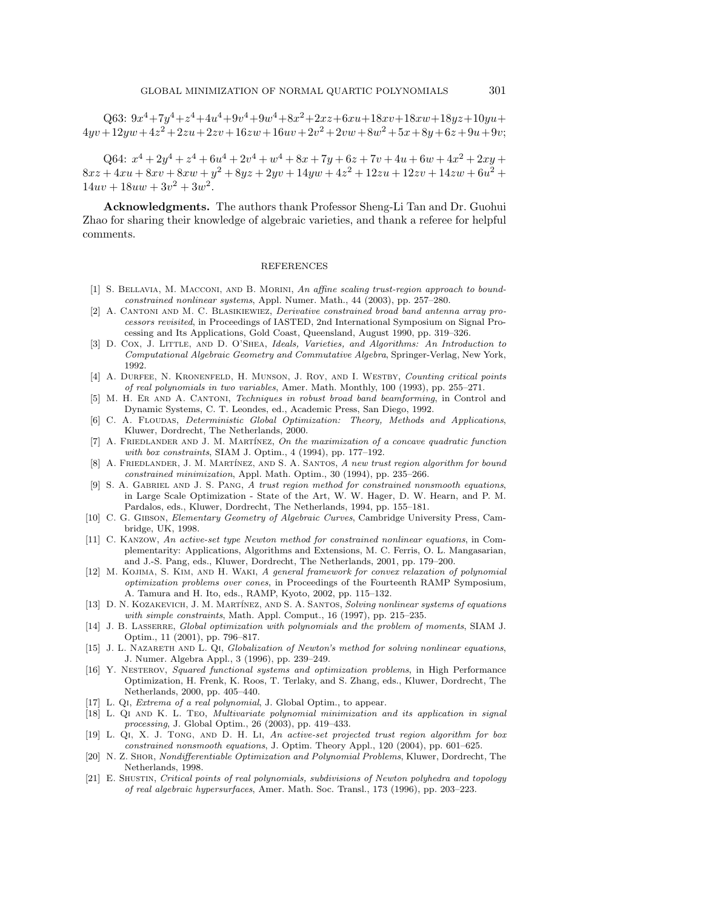$\label{eq:Q63} \text{Q63:}\ 9x^4 \!+\! 7y^4 \!+\! z^4 \!+\! 4u^4 \!+\! 9v^4 \!+\! 9w^4 \!+\! 8x^2 \!+\! 2xz \!+\! 6xu \!+\! 18xv \!+\! 18xw \!+\! 18yz \!+\! 10yu \!+\!$  $4yyv+12yw+4z^2+2zu+2zv+16zw+16uw+2v^2+2vw+8w^2+5x+8y+6z+9u+9v;$ 

Q64:  $x^4 + 2y^4 + z^4 + 6u^4 + 2v^4 + w^4 + 8x + 7y + 6z + 7v + 4u + 6w + 4x^2 + 2xy +$  $8xz + 4xu + 8xv + 8xw + y^2 + 8yz + 2yv + 14yw + 4z^2 + 12zu + 12zv + 14zw + 6u^2 +$  $14uv + 18uw + 3v^2 + 3w^2$ .

**Acknowledgments.** The authors thank Professor Sheng-Li Tan and Dr. Guohui Zhao for sharing their knowledge of algebraic varieties, and thank a referee for helpful comments.

## REFERENCES

- [1] S. BELLAVIA, M. MACCONI, AND B. MORINI, An affine scaling trust-region approach to boundconstrained nonlinear systems, Appl. Numer. Math., 44 (2003), pp. 257–280.
- [2] A. CANTONI AND M. C. BLASIKIEWIEZ, *Derivative constrained broad band antenna array pro*cessors revisited, in Proceedings of IASTED, 2nd International Symposium on Signal Processing and Its Applications, Gold Coast, Queensland, August 1990, pp. 319–326.
- [3] D. Cox, J. Little, and D. O'Shea, Ideals, Varieties, and Algorithms: An Introduction to Computational Algebraic Geometry and Commutative Algebra, Springer-Verlag, New York, 1992.
- [4] A. DURFEE, N. KRONENFELD, H. MUNSON, J. ROY, AND I. WESTBY, Counting critical points of real polynomials in two variables, Amer. Math. Monthly, 100 (1993), pp. 255–271.
- [5] M. H. Er and A. Cantoni, Techniques in robust broad band beamforming, in Control and Dynamic Systems, C. T. Leondes, ed., Academic Press, San Diego, 1992.
- [6] C. A. FLOUDAS, *Deterministic Global Optimization: Theory, Methods and Applications*, Kluwer, Dordrecht, The Netherlands, 2000.
- [7] A. FRIEDLANDER AND J. M. MARTÍNEZ, On the maximization of a concave quadratic function with box constraints, SIAM J. Optim., 4 (1994), pp. 177–192.
- [8] A. FRIEDLANDER, J. M. MARTÍNEZ, AND S. A. SANTOS, A new trust region algorithm for bound constrained minimization, Appl. Math. Optim., 30 (1994), pp. 235–266.
- [9] S. A. GABRIEL AND J. S. PANG, A trust region method for constrained nonsmooth equations, in Large Scale Optimization - State of the Art, W. W. Hager, D. W. Hearn, and P. M. Pardalos, eds., Kluwer, Dordrecht, The Netherlands, 1994, pp. 155–181.
- [10] C. G. GIBSON, Elementary Geometry of Algebraic Curves, Cambridge University Press, Cambridge, UK, 1998.
- [11] C. Kanzow, An active-set type Newton method for constrained nonlinear equations, in Complementarity: Applications, Algorithms and Extensions, M. C. Ferris, O. L. Mangasarian, and J.-S. Pang, eds., Kluwer, Dordrecht, The Netherlands, 2001, pp. 179–200.
- [12] M. KOJIMA, S. KIM, AND H. WAKI, A general framework for convex relaxation of polynomial optimization problems over cones, in Proceedings of the Fourteenth RAMP Symposium, A. Tamura and H. Ito, eds., RAMP, Kyoto, 2002, pp. 115–132.
- [13] D. N. KOZAKEVICH, J. M. MARTÍNEZ, AND S. A. SANTOS, Solving nonlinear systems of equations with simple constraints, Math. Appl. Comput., 16 (1997), pp. 215–235.
- [14] J. B. LASSERRE, Global optimization with polynomials and the problem of moments, SIAM J. Optim., 11 (2001), pp. 796–817.
- [15] J. L. NAZARETH AND L. QI, Globalization of Newton's method for solving nonlinear equations, J. Numer. Algebra Appl., 3 (1996), pp. 239–249.
- [16] Y. Nesterov, Squared functional systems and optimization problems, in High Performance Optimization, H. Frenk, K. Roos, T. Terlaky, and S. Zhang, eds., Kluwer, Dordrecht, The Netherlands, 2000, pp. 405–440.
- [17] L. QI, *Extrema of a real polynomial*, J. Global Optim., to appear.
- [18] L. Qi and K. L. Teo, Multivariate polynomial minimization and its application in signal processing, J. Global Optim., 26 (2003), pp. 419–433.
- [19] L. Qi, X. J. Tong, and D. H. Li, An active-set projected trust region algorithm for box constrained nonsmooth equations, J. Optim. Theory Appl., 120 (2004), pp. 601–625.
- [20] N. Z. Shor, Nondifferentiable Optimization and Polynomial Problems, Kluwer, Dordrecht, The Netherlands, 1998.
- [21] E. Shustin, Critical points of real polynomials, subdivisions of Newton polyhedra and topology of real algebraic hypersurfaces, Amer. Math. Soc. Transl., 173 (1996), pp. 203–223.